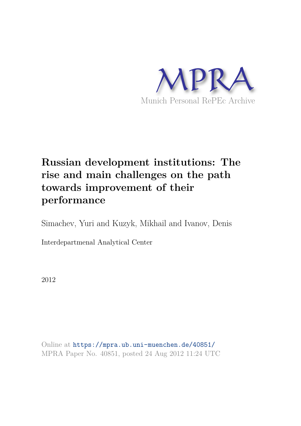

# **Russian development institutions: The rise and main challenges on the path towards improvement of their performance**

Simachev, Yuri and Kuzyk, Mikhail and Ivanov, Denis

Interdepartmenal Analytical Center

2012

Online at https://mpra.ub.uni-muenchen.de/40851/ MPRA Paper No. 40851, posted 24 Aug 2012 11:24 UTC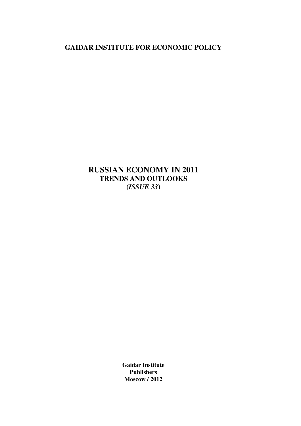**GAIDAR INSTITUTE FOR ECONOMIC POLICY** 

**RUSSIAN ECONOMY IN 2011 TRENDS AND OUTLOOKS (***ISSUE 33***)**

> **Gaidar Institute Publishers Moscow / 2012**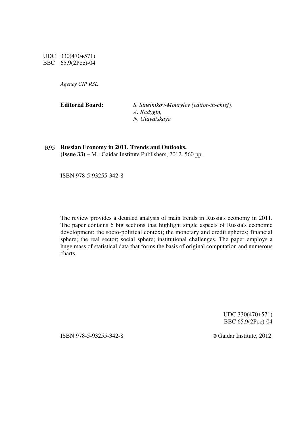UDC 330(470+571) BBC 65.9(2Рос)-04

*Agency CIP RSL*

**Editorial Board:** *S. Sinelnikov-Mourylev (editor-in-chief), А. Radygin, N. Glavatskaya* 

R95 **Russian Economy in 2011. Trends and Outlooks. (Issue 33) –** М.: Gaidar Institute Publishers, 2012. 560 pp.

ISBN 978-5-93255-342-8

The review provides a detailed analysis of main trends in Russia's economy in 2011. The paper contains 6 big sections that highlight single aspects of Russia's economic development: the socio-political context; the monetary and credit spheres; financial sphere; the real sector; social sphere; institutional challenges. The paper employs a huge mass of statistical data that forms the basis of original computation and numerous charts.

> UDC 330(470+571) BBC 65.9(2Рос)-04

ISBN 978-5-93255-342-8 © Gaidar Institute, 2012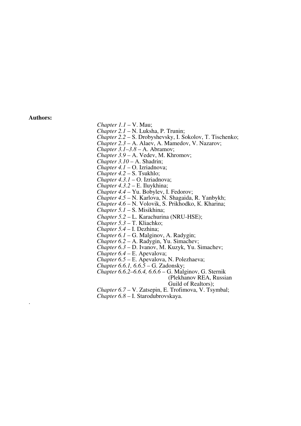#### **Authors:**

.

*Chapter 1.1* – V. Mau;

*Chapter 2.1* – N. Luksha, P. Trunin;

 *Chapter 2.2* – S. Drobyshevsky, I. Sokolov, Т. Tischenko;

 *Chapter 2.3* – А. Alaev, А. Mamedov, V. Nazarov;

*Chapter 3.1–3.8* – А. Abramov;

*Chapter 3.9 –* А. Vedev, М. Khromov;

*Chapter 3.10* – А. Shadrin;

*Chapter 4.1* – О. Izriadnova;

*Chapter 4.2* – S. Tsukhlo;

*Chapter 4.3.1* – О. Izriadnova;

*Chapter 4.3.2* – Е. Iluykhina;

*Chapter 4.4* – Yu. Bobylev, I. Fedorov;

*Chapter 4*.*5* – N. Karlova, N. Shagaida, R. Yanbykh;

*Chapter 4.6* – N. Volovik, S. Prikhodko, К. Kharina;

*Chapter 5.1* – S. Misikhina;

 *Chapter 5.2* – L. Karachurina (NRU-HSE);

*Chapter 5.3* – Т. Kliachko;

*Chapter 5.4* – I. Dezhina;

*Chapter 6.1* – G. Malginov, А. Radygin;

*Chapter 6.2 –* А. Radygin, Yu. Simachev;

 *Chapter 6.3* – D. Ivanov, М. Kuzyk, Yu. Simachev;

*Chapter 6.4* – Е. Apevalova;

*Chapter 6.5 –* Е. Apevalova, N. Polezhaeva;

*Chapter 6.6.1, 6.6.5* – G. Zadonsky;

*Chapter 6.6.2–6.6.4, 6.6.6* – G. Malginov, G. Sternik (Plekhanov REA, Russian

Guild of Realtors);

 *Chapter 6.7 –* V. Zatsepin, E. Trofimova, V. Tsymbal;  *Chapter 6.8 –* I. Starodubrovskaya.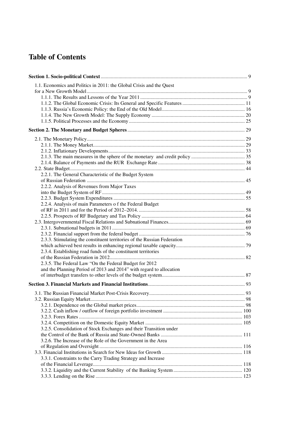# **Table of Contents**

| 1.1. Economics and Politics in 2011: the Global Crisis and the Quest     |  |
|--------------------------------------------------------------------------|--|
|                                                                          |  |
|                                                                          |  |
|                                                                          |  |
|                                                                          |  |
|                                                                          |  |
|                                                                          |  |
|                                                                          |  |
|                                                                          |  |
|                                                                          |  |
|                                                                          |  |
|                                                                          |  |
|                                                                          |  |
|                                                                          |  |
| 2.2.1. The General Characteristic of the Budget System                   |  |
|                                                                          |  |
| 2.2.2. Analysis of Revenues from Major Taxes                             |  |
|                                                                          |  |
|                                                                          |  |
| 2.2.4. Analysis of main Parameters of the Federal Budget                 |  |
|                                                                          |  |
|                                                                          |  |
|                                                                          |  |
|                                                                          |  |
|                                                                          |  |
| 2.3.3. Stimulating the constituent territories of the Russian Federation |  |
|                                                                          |  |
| 2.3.4. Establishing road funds of the constituent territories            |  |
|                                                                          |  |
| 2.3.5. The Federal Law "On the Federal Budget for 2012                   |  |
| and the Planning Period of 2013 and 2014" with regard to allocation      |  |
|                                                                          |  |
|                                                                          |  |
|                                                                          |  |
|                                                                          |  |
|                                                                          |  |
|                                                                          |  |
|                                                                          |  |
|                                                                          |  |
|                                                                          |  |
| 3.2.5. Consolidation of Stock Exchanges and their Transition under       |  |
|                                                                          |  |
| 3.2.6. The Increase of the Role of the Government in the Area            |  |
|                                                                          |  |
|                                                                          |  |
| 3.3.1. Constraints to the Carry Trading Strategy and Increase            |  |
|                                                                          |  |
|                                                                          |  |
|                                                                          |  |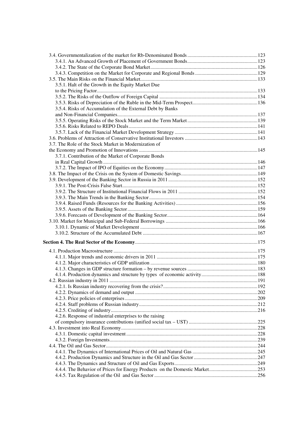| 3.5.1. Halt of the Growth in the Equity Market Due         |  |
|------------------------------------------------------------|--|
|                                                            |  |
|                                                            |  |
|                                                            |  |
| 3.5.4. Risks of Accumulation of the External Debt by Banks |  |
|                                                            |  |
|                                                            |  |
|                                                            |  |
|                                                            |  |
|                                                            |  |
| 3.7. The Role of the Stock Market in Modernization of      |  |
|                                                            |  |
| 3.7.1. Contribution of the Market of Corporate Bonds       |  |
|                                                            |  |
|                                                            |  |
|                                                            |  |
|                                                            |  |
|                                                            |  |
|                                                            |  |
|                                                            |  |
|                                                            |  |
|                                                            |  |
|                                                            |  |
|                                                            |  |
|                                                            |  |
|                                                            |  |
|                                                            |  |
|                                                            |  |
|                                                            |  |
|                                                            |  |
|                                                            |  |
|                                                            |  |
|                                                            |  |
|                                                            |  |
|                                                            |  |
|                                                            |  |
|                                                            |  |
|                                                            |  |
|                                                            |  |
| 4.2.6. Response of industrial enterprises to the raising   |  |
|                                                            |  |
|                                                            |  |
|                                                            |  |
|                                                            |  |
|                                                            |  |
|                                                            |  |
|                                                            |  |
|                                                            |  |
|                                                            |  |
|                                                            |  |
|                                                            |  |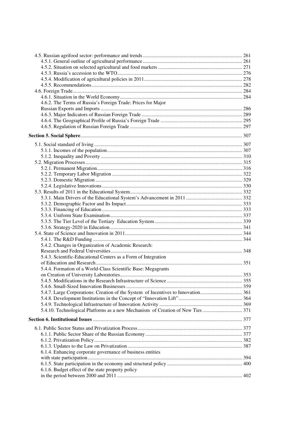| 4.6.2. The Terms of Russia's Foreign Trade: Prices for Major                    |  |
|---------------------------------------------------------------------------------|--|
|                                                                                 |  |
|                                                                                 |  |
|                                                                                 |  |
|                                                                                 |  |
|                                                                                 |  |
|                                                                                 |  |
|                                                                                 |  |
|                                                                                 |  |
|                                                                                 |  |
|                                                                                 |  |
|                                                                                 |  |
|                                                                                 |  |
|                                                                                 |  |
|                                                                                 |  |
|                                                                                 |  |
|                                                                                 |  |
|                                                                                 |  |
|                                                                                 |  |
|                                                                                 |  |
|                                                                                 |  |
|                                                                                 |  |
|                                                                                 |  |
| 5.4.2. Changes in Organization of Academic Research:                            |  |
|                                                                                 |  |
| 5.4.3. Scientific-Educational Centers as a Form of Integration                  |  |
|                                                                                 |  |
| 5.4.4. Formation of a World-Class Scientific Base: Megagrants                   |  |
|                                                                                 |  |
|                                                                                 |  |
|                                                                                 |  |
|                                                                                 |  |
|                                                                                 |  |
|                                                                                 |  |
| 5.4.10. Technological Platforms as a new Mechanism of Creation of New Ties  371 |  |
|                                                                                 |  |
|                                                                                 |  |
|                                                                                 |  |
|                                                                                 |  |
|                                                                                 |  |
|                                                                                 |  |
| 6.1.4. Enhancing corporate governance of business entities                      |  |
|                                                                                 |  |
|                                                                                 |  |
| 6.1.6. Budget effect of the state property policy                               |  |
|                                                                                 |  |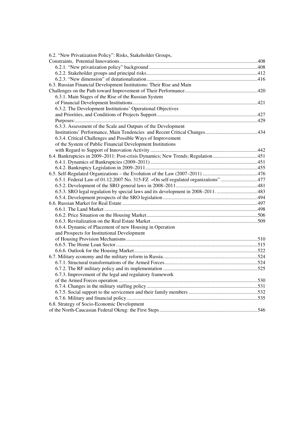| 6.2. "New Privatization Policy": Risks, Stakeholder Groups,                       |  |
|-----------------------------------------------------------------------------------|--|
|                                                                                   |  |
|                                                                                   |  |
|                                                                                   |  |
|                                                                                   |  |
| 6.3. Russian Financial Development Institutions: Their Rise and Main              |  |
|                                                                                   |  |
| 6.3.1. Main Stages of the Rise of the Russian System                              |  |
|                                                                                   |  |
| 6.3.2. The Development Institutions' Operational Objectives                       |  |
|                                                                                   |  |
|                                                                                   |  |
| 6.3.3. Assessment of the Scale and Outputs of the Development                     |  |
|                                                                                   |  |
| 6.3.4. Critical Challenges and Possible Ways of Improvement                       |  |
| of the System of Public Financial Development Institutions                        |  |
|                                                                                   |  |
| 6.4. Bankruptcies in 2009-2011: Post-crisis Dynamics; New Trends; Regulation451   |  |
|                                                                                   |  |
|                                                                                   |  |
|                                                                                   |  |
| 6.5.1. Federal Law of 01.12.2007 No. 315-FZ «On self-regulated organizations"477  |  |
|                                                                                   |  |
| 6.5.3. SRO legal regulation by special laws and its development in 2008-2011. 483 |  |
|                                                                                   |  |
|                                                                                   |  |
|                                                                                   |  |
|                                                                                   |  |
|                                                                                   |  |
| 6.6.4. Dynamic of Placement of new Housing in Operation                           |  |
| and Prospects for Institutional Development                                       |  |
|                                                                                   |  |
|                                                                                   |  |
|                                                                                   |  |
|                                                                                   |  |
|                                                                                   |  |
|                                                                                   |  |
| 6.7.3. Improvement of the legal and regulatory framework                          |  |
|                                                                                   |  |
|                                                                                   |  |
|                                                                                   |  |
|                                                                                   |  |
| 6.8. Strategy of Socio-Economic Development                                       |  |
|                                                                                   |  |
|                                                                                   |  |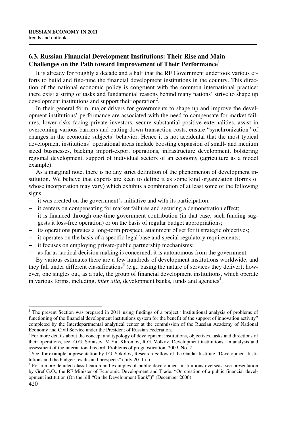# **6.3. Russian Financial Development Institutions: Their Rise and Main Challenges on the Path toward Improvement of Their Performance<sup>1</sup>**

It is already for roughly a decade and a half that the RF Government undertook various efforts to build and fine-tune the financial development institutions in the country. This direction of the national economic policy is congruent with the common international practice: there exist a string of tasks and fundamental reasons behind many nations' strive to shape up development institutions and support their operation<sup>2</sup>.

In their general form, major drivers for governments to shape up and improve the development institutions' performance are associated with the need to compensate for market failures, lower risks facing private investors, secure substantial positive externalities, assist in overcoming various barriers and cutting down transaction costs, ensure "synchronization" of changes in the economic subjects' behavior. Hence it is not accidental that the most typical development institutions' operational areas include boosting expansion of small- and medium sized businesses, backing import-export operations, infrastructure development, bolstering regional development, support of individual sectors of an economy (agriculture as a model example).

As a marginal note, there is no any strict definition of the phenomenon of development institution. We believe that experts are keen to define it as some kind organization (forms of whose incorporation may vary) which exhibits a combination of at least some of the following signs:

- − it was created on the government's initiative and with its participation;
- − it centers on compensating for market failures and securing a demonstration effect;
- − it is financed through one-time government contribution (in that case, such funding suggests it loss-free operation) or on the basis of regular budget appropriations;
- − its operations pursues a long-term prospect, attainment of set for it strategic objectives;
- − it operates on the basis of a specific legal base and special regulatory requirements;
- − it focuses on employing private-public partnership mechanisms;
- − as far as tactical decision making is concerned, it is autonomous from the government.

By various estimates there are a few hundreds of development institutions worldwide, and they fall under different classifications<sup>3</sup> (e.g., basing the nature of services they deliver); however, one singles out, as a rule, the group of financial development institutions, which operate in various forms, including, *inter alia*, development banks, funds and agencies<sup>4</sup>.

 $\overline{a}$ <sup>1</sup> The present Section was prepared in 2011 using findings of a project "Institutional analysis of problems of functioning of the financial development institutions system for the benefit of the support of innovation activity" completed by the Interdepartmental analytical center at the commission of the Russian Academy of National Economy and Civil Service under the President of Russian Federation.

<sup>&</sup>lt;sup>2</sup>For more details about the concept and typology of development institutions, objectives, tasks and directions of their operations, see: O.G. Solntsev, M.Yu. Khromov, R.G. Volkov. Development institutions: an analysis and assessment of the international record. Problems of prognostication, 2009, No. 2.

<sup>&</sup>lt;sup>3</sup> See, for example, a presentation by I.G. Sokolov, Research Fellow of the Gaidar Institute "Development Institutions and the budget: results and prospects" (July 2011 г.).

<sup>&</sup>lt;sup>4</sup> For a more detailed classification and examples of public development institutions overseas, see presentation by Gref G.O., the RF Minister of Economic Development and Trade: "On creation of a public financial development institution (On the bill "On the Development Bank")" (December 2006).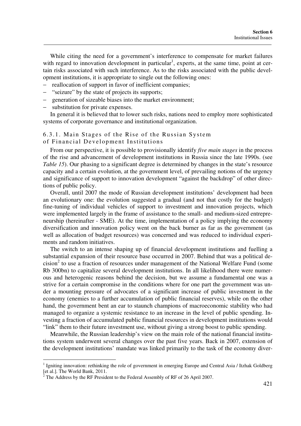While citing the need for a government's interference to compensate for market failures with regard to innovation development in particular<sup>1</sup>, experts, at the same time, point at certain risks associated with such interference. As to the risks associated with the public development institutions, it is appropriate to single out the following ones:

- reallocation of support in favor of inefficient companies;
- "seizure" by the state of projects its supports;
- generation of sizeable biases into the market environment;
- substitution for private expenses.

In general it is believed that to lower such risks, nations need to employ more sophisticated systems of corporate governance and institutional organization.

#### 6.3.1. Main Stages of the Rise of the Russian System of Financial Development Institutions

From our perspective, it is possible to provisionally identify *five main stages* in the process of the rise and advancement of development institutions in Russia since the late 1990s. (see *Table 15*). Our phasing to a significant degree is determined by changes in the state's resource capacity and a certain evolution, at the government level, of prevailing notions of the urgency and significance of support to innovation development "against the backdrop" of other directions of public policy.

Overall, until 2007 the mode of Russian development institutions' development had been an evolutionary one: the evolution suggested a gradual (and not that costly for the budget) fine-tuning of individual vehicles of support to investment and innovation projects, which were implemented largely in the frame of assistance to the small- and medium-sized entrepreneurship (hereinafter - SME). At the time, implementation of a policy implying the economy diversification and innovation policy went on the back burner as far as the government (as well as allocation of budget resources) was concerned and was reduced to individual experiments and random initiatives.

The switch to an intense shaping up of financial development institutions and fuelling a substantial expansion of their resource base occurred in 2007. Behind that was a political de $cision<sup>2</sup>$  to use a fraction of resources under management of the National Welfare Fund (some Rb 300bn) to capitalize several development institutions. In all likelihood there were numerous and heterogenic reasons behind the decision, but we assume a fundamental one was a strive for a certain compromise in the conditions where for one part the government was under a mounting pressure of advocates of a significant increase of public investment in the economy (enemies to a further accumulation of public financial reserves), while on the other hand, the government bent an ear to staunch champions of macroeconomic stability who had managed to organize a systemic resistance to an increase in the level of public spending. Investing a fraction of accumulated public financial resources in development institutions would "link" them to their future investment use, without giving a strong boost to public spending.

Meanwhile, the Russian leadership's view on the main role of the national financial institutions system underwent several changes over the past five years. Back in 2007, extension of the development institutions' mandate was linked primarily to the task of the economy diver-

<sup>&</sup>lt;sup>1</sup> Igniting innovation: rethinking the role of government in emerging Europe and Central Asia / Itzhak Goldberg [et al.]. The World Bank, 2011.<br><sup>2</sup> The Address by the RF President to the Federal Assembly of RF of 26 April 2007.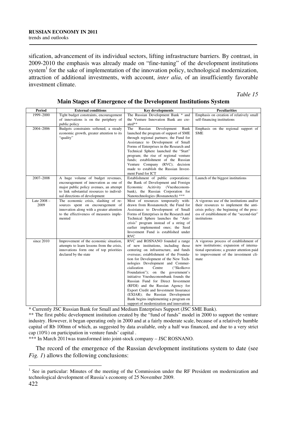sification, advancement of its individual sectors, lifting infrastructure barriers. By contrast, in 2009-2010 the emphasis was already made on "fine-tuning" of the development institutions system<sup>1</sup> for the sake of implementation of the innovation policy, technological modernization, attraction of additional investments, with account, *inter alia*, of an insufficiently favorable investment climate.

*Table 15* 

| <b>Period</b>         | <b>External conditions</b>                                                                                                                                                                          | <b>Key developments</b>                                                                                                                                                                                                                                                                                                                                                                                                                                                                                                                                                                                    | <b>Peculiarities</b>                                                                                                                                                                          |
|-----------------------|-----------------------------------------------------------------------------------------------------------------------------------------------------------------------------------------------------|------------------------------------------------------------------------------------------------------------------------------------------------------------------------------------------------------------------------------------------------------------------------------------------------------------------------------------------------------------------------------------------------------------------------------------------------------------------------------------------------------------------------------------------------------------------------------------------------------------|-----------------------------------------------------------------------------------------------------------------------------------------------------------------------------------------------|
| 1999-2000             | Tight budget constraints, encouragement<br>of innovations is on the periphery of<br>public policy                                                                                                   | The Russian Development Bank * and<br>the Venture Innovation Bank are cre-<br>ated**                                                                                                                                                                                                                                                                                                                                                                                                                                                                                                                       | Emphasis on creation of relatively small<br>self-financing institutions                                                                                                                       |
| 2004-2006             | Budgets constraints softened, a steady<br>economic growth, greater attention to its<br>"quality"                                                                                                    | The<br>Russian<br>Development<br>Bank<br>launched the program of support of SME<br>through regional partners; the Fund for<br>Assistance to Development of Small<br>Forms of Enterprises in the Research and<br>Technical Sphere launched the "Start"<br>program; the rise of regional venture<br>funds; establishment of the Russian<br>Venture Company (RVC); decision<br>made to establish the Russian Invest-<br>ment Fund for ICT                                                                                                                                                                     | Emphasis on the regional support of<br><b>SME</b>                                                                                                                                             |
| 2007-2008             | A huge volume of budget revenues,<br>encouragement of innovation as one of<br>major public policy avenues, an attempt<br>to link substantial resources to individ-<br>ual directions of development | Establishment of public corporations:<br>the Bank of Development and Foreign<br>Economic Acitivity (Vnesheconom-<br>bank), the Russian Corporation for<br>Nanotechnologies (Rosnanotech) ***                                                                                                                                                                                                                                                                                                                                                                                                               | Launch of the biggest institutions                                                                                                                                                            |
| Late $2008 -$<br>2009 | The economic crisis, slashing of re-<br>sources spent on encouragement of<br>innovation along with a greater attention<br>to the effectiveness of measures imple-<br>mented                         | Most of resources temporarily with-<br>drawn from Rosnanotech; the Fund for<br>Assistance to Development of Small<br>Forms of Enterprises in the Research and<br>Technical Sphere launches the "Anti-<br>crisis" program instead of a string of<br>earlier implemented ones; the Seed<br>Investment Fund is established under<br><b>RVC</b>                                                                                                                                                                                                                                                                | A vigorous use of the institutions and/or<br>their resources to implement the anti-<br>crisis policy; the beginning of the proc-<br>ess of establishment of the "second-tier"<br>institutions |
| since 2010            | Improvement of the economic situation,<br>attempts to learn lessons from the crisis,<br>innovations form one of top priorities<br>declared by the state                                             | RVC and ROSNANO founded a range<br>of new institutions, including those<br>centering on infrastructure, and funds<br>overseas; establishment of the Founda-<br>tion for Development of the New Tech-<br>nologies Development and Commer-<br>cialization<br>("Skolkovo<br>Centre<br>Foundation"); on the government's<br>initiative Vnesheconombank founds the<br>Russian Fund for Direct Investment<br>(RFDI) and the Russian Agency for<br>Export Credit and Investment Insurance<br>(EXIAR); the Russian Development<br>Bank begins implementing a program on<br>support of modernization and innovation | A vigorous process of establishment of<br>new institutions; expansion of interna-<br>tional operations; a greater attention paid<br>to improvement of the investment cli-<br>mate             |

### **Main Stages of Emergence of the Development Institutions System**

\* Currently JSC Russian Bank for Small and Medium Enterprises Support (JSC SME Bank).

\*\* The first public development institution created by the "fund of funds" model in 2000 to support the venture industry. However, it began operating only in 2000 and at a fairly moderate scale, because of a relatively humble capital of Rb 100mn of which, as suggested by data available, only a half was financed, and due to a very strict cap (10%) on participation in venture funds' capital .

\*\*\* In March 2011was transformed into joint-stock company – JSC ROSNANO.

The record of the emergence of the Russian development institutions system to date (see *Fig. 1*) allows the following conclusions:

<sup>&</sup>lt;sup>1</sup> See in particular: Minutes of the meeting of the Commission under the RF President on modernization and technological development of Russia's economy of 25 November 2009.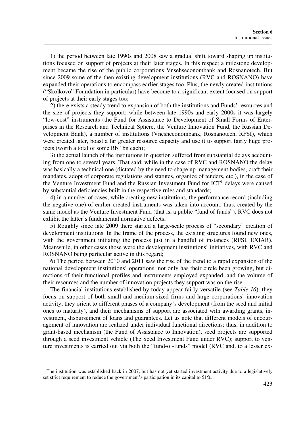1) the period between late 1990s and 2008 saw a gradual shift toward shaping up institutions focused on support of projects at their later stages. In this respect a milestone development became the rise of the public corporations Vnsehseconombank and Rosnanotech. But since 2009 some of the then existing development institutions (RVC and ROSNANO) have expanded their operations to encompass earlier stages too. Plus, the newly created institutions ("Skolkovo" Foundation in particular) have become to a significant extent focused on support of projects at their early stages too;

2) there exists a steady trend to expansion of both the institutions and Funds' resources and the size of projects they support: while between late 1990s and early 2000s it was largely "low-cost" instruments (the Fund for Assistance to Development of Small Forms of Enterprises in the Research and Technical Sphere, the Venture Innovation Fund, the Russian Development Bank), a number of institutions (Vnesheconombank, Rosnanotech, RFSI), which were created later, boast a far greater resource capacity and use it to support fairly huge projects (worth a total of some Rb 1bn each);

3) the actual launch of the institutions in question suffered from substantial delays accounting from one to several years. That said, while in the case of RVC and ROSNANO the delay was basically a technical one (dictated by the need to shape up management bodies, craft their mandates, adopt of corporate regulations and statutes, organize of tenders, etc.), in the case of the Venture Investment Fund and the Russian Investment Fund for  $\text{ICT}^1$  delays were caused by substantial deficiencies built in the respective rules and standards;

4) in a number of cases, while creating new institutions, the performance record (including the negative one) of earlier created instruments was taken into account: thus, created by the same model as the Venture Investment Fund (that is, a public "fund of funds"), RVC does not exhibit the latter's fundamental normative defects;

5) Roughly since late 2009 there started a large-scale process of "secondary" creation of development institutions. In the frame of the process, the existing structures found new ones, with the government initiating the process just in a handful of instances (RFSI, EXIAR). Meanwhile, in other cases those were the development institutions' initiatives, with RVC and ROSNANO being particular active in this regard;

6) The period between 2010 and 2011 saw the rise of the trend to a rapid expansion of the national development institutions' operations: not only has their circle been growing, but directions of their functional profiles and instruments employed expanded, and the volume of their resources and the number of innovation projects they support was on the rise.

The financial institutions established by today appear fairly versatile (see *Table 16*): they focus on support of both small-and medium-sized firms and large corporations' innovation activity; they orient to different phases of a company's development (from the seed and initial ones to maturity), and their mechanisms of support are associated with awarding grants, investment, disbursement of loans and guarantees. Let us note that different models of encouragement of innovation are realized under individual functional directions: thus, in addition to grant-based mechanism (the Fund of Assistance to Innovation), seed projects are supported through a seed investment vehicle (The Seed Investment Fund under RVC); support to venture investments is carried out via both the "fund-of-funds" model (RVC and, to a lesser ex-

 $<sup>1</sup>$  The institution was established back in 2007, but has not yet started investment activity due to a legislatively</sup> set strict requirement to reduce the government's participation in its capital to 51%.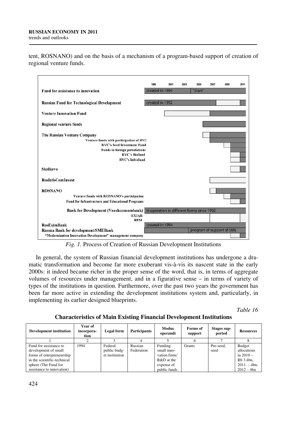tent, ROSNANO) and on the basis of a mechanism of a program-based support of creation of regional venture funds.



*Fig. 1.* Process of Creation of Russian Development Institutions

In general, the system of Russian financial development institutions has undergone a dramatic transformation and become far more exuberant vis-à-vis its nascent state in the early 2000s: it indeed became richer in the proper sense of the word, that is, in terms of aggregate volumes of resources under management, and in a figurative sense – in terms of variety of types of the institutions in question. Furthermore, over the past two years the government has been far more active in extending the development institutions system and, particularly, in implementing its earlier designed blueprints.

*Table 16* 

**Characteristics of Main Existing Financial Development Institutions** 

| <b>Development institution</b> | Year of<br>incorpora-<br>tion | Legal form     | <b>Participants</b> | <b>Modus</b><br>operandi | Forms of<br>support | Stages sup-<br>ported | <b>Resources</b> |
|--------------------------------|-------------------------------|----------------|---------------------|--------------------------|---------------------|-----------------------|------------------|
|                                |                               |                |                     |                          |                     |                       |                  |
| Fund for assistance to         | 1994                          | Federal        | Russian             | Funding                  | Grants              | Pre-seed.             | <b>Budget</b>    |
| development of small           |                               | public budg-   | Federation          | small inno-              |                     | seed                  | allocations      |
| forms of entrepreneurship      |                               | et institution |                     | vation firms'            |                     |                       | in $2010 -$      |
| in the scientific-technical    |                               |                |                     | R&D at the               |                     |                       | Rb 3.4bn,        |
| sphere (The Fund for           |                               |                |                     | expense of               |                     |                       | $2011 - 4bn$ ,   |
| assistance to innovation)      |                               |                |                     | public funds             |                     |                       | $2012 - 4bn$     |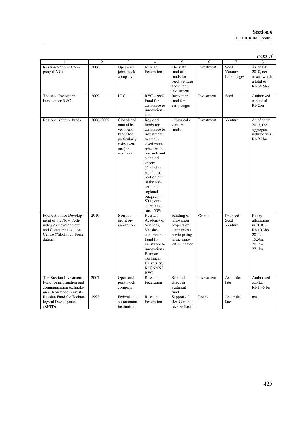|                                                                                                                                         |                |                                                                                                           |                                                                                                                                                                                                                                                                                          |                                                                                                          |            |                                 | $\text{cont'}d$                                                                                 |
|-----------------------------------------------------------------------------------------------------------------------------------------|----------------|-----------------------------------------------------------------------------------------------------------|------------------------------------------------------------------------------------------------------------------------------------------------------------------------------------------------------------------------------------------------------------------------------------------|----------------------------------------------------------------------------------------------------------|------------|---------------------------------|-------------------------------------------------------------------------------------------------|
| $\mathbf{1}$                                                                                                                            | $\overline{c}$ | 3                                                                                                         | $\overline{4}$                                                                                                                                                                                                                                                                           | 5                                                                                                        | 6          | $\overline{7}$                  | 8                                                                                               |
| Russian Venture Com-<br>pany (RVC)                                                                                                      | 2006           | Open-end<br>joint-stock<br>company                                                                        | Russian<br>Federation                                                                                                                                                                                                                                                                    | The state<br>fund of<br>funds for<br>seed, venture<br>and direct<br>investment                           | Investment | Seed<br>Venture<br>Later stages | As of late<br>2010, net<br>assets worth<br>a total of<br>Rb 34.5bn                              |
| The seed Investment<br>Fund under RVC                                                                                                   | 2009           | <b>LLC</b>                                                                                                | $RVC - 99\%$ ;<br>Fund for<br>assistance to<br>$innovation -$<br>$1\%$ .                                                                                                                                                                                                                 | Investment<br>fund for<br>early stages                                                                   | Investment | Seed                            | Authorized<br>capital of<br>Rb <sub>2bn</sub>                                                   |
| Regional venture funds                                                                                                                  | 2006-2009      | Closed-end<br>mutual in-<br>vestment<br>funds for<br>particularly<br>risky (ven-<br>ture) in-<br>vestment | Regional<br>funds for<br>assistance to<br>investment<br>to small-<br>sized enter-<br>prises in the<br>research and<br>technical<br>sphere<br>(funded in<br>equal pro-<br>portion out<br>of the fed-<br>eral and<br>regional<br>$budgets) -$<br>50%; out-<br>sider inves-<br>tors- $50\%$ | «Classical»<br>venture<br>funds                                                                          | Investment | Venture                         | As of early<br>2012, the<br>aggregate<br>volume was<br>Rb 9.2bn                                 |
| Foundation for Develop-<br>ment of the New Tech-<br>nologies Development<br>and Commercialization<br>Centre ("Skolkovo Foun-<br>dation" | 2010           | Non-for-<br>profit or-<br>ganization                                                                      | Russian<br>Academy of<br>Sciences,<br>Vneshe-<br>conombank,<br>Fund for<br>assistance to<br>innovations,<br>Bauman<br>Technical<br>University,<br>ROSNANO,<br><b>RVC</b>                                                                                                                 | Funding of<br>innovation<br>projects of<br>companies t<br>participating<br>in the inno-<br>vation center | Grants     | Pre-seed<br>Seed<br>Venture     | Budget<br>allocations<br>in $2010 -$<br>Rb 10.3bn,<br>$2011 -$<br>15.5bn,<br>$2012 -$<br>27.1bn |
| The Russian Investment<br>Fund for information and<br>communication technolo-<br>gies (Rosinfocominvest)                                | 2007           | Open-end<br>joint-stock<br>company                                                                        | Russian<br>Federation                                                                                                                                                                                                                                                                    | Sectoral<br>direct in-<br>vestment<br>fund                                                               | Investment | As a rule,<br>late              | Authorized<br>$capital -$<br>Rb 1.45 bn                                                         |
| Russian Fund for Techno-<br>logical Development<br>(RFTD)                                                                               | 1992           | Federal state<br>autonomous<br>institution                                                                | Russian<br>Federation                                                                                                                                                                                                                                                                    | Support of<br>R&D on the<br>reverse basis                                                                | Loans      | As a rule,<br>late              | n/a                                                                                             |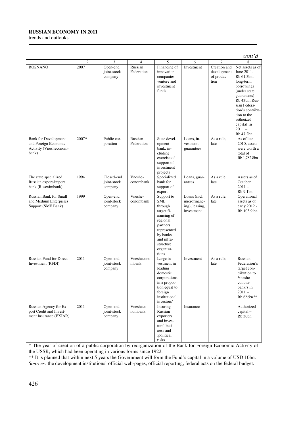#### **RUSSIAN ECONOMY IN 2011**

trends and outlooks

|                                                                                        |                |                                      |                       |                                                                                                                                                                     |                                                              |                                                   | $\text{cont'}d$                                                                                                                                                                                                                     |
|----------------------------------------------------------------------------------------|----------------|--------------------------------------|-----------------------|---------------------------------------------------------------------------------------------------------------------------------------------------------------------|--------------------------------------------------------------|---------------------------------------------------|-------------------------------------------------------------------------------------------------------------------------------------------------------------------------------------------------------------------------------------|
|                                                                                        | $\overline{2}$ | 3                                    | 4                     | 5                                                                                                                                                                   | 6                                                            | 7                                                 | 8                                                                                                                                                                                                                                   |
| <b>ROSNANO</b>                                                                         | 2007           | Open-end<br>joint-stock<br>company   | Russian<br>Federation | Financing of<br>innovation<br>companies,<br>venture and<br>investment<br>funds                                                                                      | Investment                                                   | Creation and<br>development<br>of produc-<br>tion | Net assets as of<br>June 2011-<br>Rb 61.3bn;<br>long-term<br>borrowings<br>(under state<br>$guarantees) -$<br>Rb 43bn; Rus-<br>sian Federa-<br>tion's contribu-<br>tion to the<br>authorized<br>capital in<br>$2011 -$<br>Rb 47.2bn |
| <b>Bank for Development</b><br>and Foreign Economic<br>Activity (Vnesheconom-<br>bank) | 2007*          | Public cor-<br>poration              | Russian<br>Federation | State devel-<br>opment<br>bank, in-<br>cluding<br>exercise of<br>support of<br>investment<br>projects                                                               | Loans, in-<br>vestment,<br>guarantees                        | As a rule,<br>late                                | As of late<br>$2010$ , assets<br>were worth a<br>total of<br>Rb 1,782.8bn                                                                                                                                                           |
| The state specialized<br>Russian export-import<br>bank (Roseximbank)                   | 1994           | Closed-end<br>joint-stock<br>company | Vneshe-<br>conombank  | Specialized<br>bank for<br>support of<br>export                                                                                                                     | Loans, guar-<br>antees                                       | As a rule,<br>late                                | Assets as of<br>October<br>$2011 -$<br>Rb 9.1bn                                                                                                                                                                                     |
| <b>Russian Bank for Small</b><br>and Medium Enterprises<br>Support (SME Bank)          | 1999           | Open-end<br>joint-stock<br>company   | Vneshe-<br>conombank  | Support to<br><b>SME</b><br>through<br>target fi-<br>nancing of<br>regional<br>partners<br>represented<br>by banks<br>and infra-<br>structure<br>organiza-<br>tions | Loans (incl.<br>microfinanc-<br>ing), leasing,<br>investment | As a rule,<br>late                                | Operational<br>assets as of<br>early 2012 -<br>Rb 103.9 bn                                                                                                                                                                          |
| Russian Fund for Direct<br>Investment (RFDI)                                           | 2011           | Open-end<br>joint-stock<br>company   | Vneshecono<br>mbank   | Large in-<br>vestment in<br>leading<br>domestic<br>corporations<br>in a propor-<br>tion equal to<br>foreign<br>institutional<br>investors'                          | Investment                                                   | As a rule,<br>late                                | Russian<br>Federation's<br>target con-<br>tribution to<br>Vneshe-<br>conom-<br>bank's in<br>$2011 -$<br>Rb 62.6bn.**                                                                                                                |
| Russian Agency for Ex-<br>port Credit and Invest-<br>ment Insurance (EXIAR)            | 2011           | Open-end<br>joint-stock<br>company   | Vnesheco-<br>nombank  | Insuring<br>Russian<br>exporters<br>and inves-<br>tors' busi-<br>ness and<br>;political<br>risks                                                                    | Insurance                                                    |                                                   | Authorized<br>$capital -$<br>Rb 30bn                                                                                                                                                                                                |

\* The year of creation of a public corporation by reorganization of the Bank for Foreign Economic Activity of the USSR, which had been operating in various forms since 1922.

\*\* It is planned that within next 5 years the Government will form the Fund's capital in a volume of USD 10bn. *Sources:* the development institutions' official web-pages, official reporting, federal acts on the federal budget.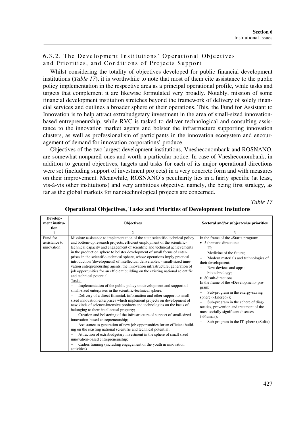# 6.3.2. The Development Institutions' Operational Objectives and Priorities, and Conditions of Projects Support

Whilst considering the totality of objectives developed for public financial development institutions (*Table 17*), it is worthwhile to note that most of them cite assistance to the public policy implementation in the respective area as a principal operational profile, while tasks and targets that complement it are likewise formulated very broadly. Notably, mission of some financial development institution stretches beyond the framework of delivery of solely financial services and outlines a broader sphere of their operations. This, the Fund for Assistant to Innovation is to help attract extrabudgetary investment in the area of small-sized innovationbased entrepreneurship, while RVC is tasked to deliver technological and consulting assistance to the innovation market agents and bolster the infrastructure supporting innovation clusters, as well as professionalism of participants in the innovation ecosystem and encouragement of demand for innovation corporations' produce.

Objectives of the two largest development institutions, Vnesheconombank and ROSNANO, are somewhat nonpareil ones and worth a particular notice. In case of Vnesheconombank, in addition to general objectives, targets and tasks for each of its major operational directions were set (including support of investment projects) in a very concrete form and with measures on their improvement. Meanwhile, ROSNANO's peculiarity lies in a fairly specific (at least, vis-à-vis other institutions) and very ambitious objective, namely, the being first strategy, as far as the global markets for nanotechnological projects are concerned.

*Table 17* 

| Develop-                                |                                                                                                                                                                                                                                                                                                                                                                                                                                                                                                                                                                                                                                                                                                                                                                                                                                                                                                                                                                                                                                                                                                                                                                                                                                                                                                                                                                                                                                                                                                                                                                                   |                                                                                                                                                                                                                                                                                                                                                                                                                                                                                                                                                                                           |
|-----------------------------------------|-----------------------------------------------------------------------------------------------------------------------------------------------------------------------------------------------------------------------------------------------------------------------------------------------------------------------------------------------------------------------------------------------------------------------------------------------------------------------------------------------------------------------------------------------------------------------------------------------------------------------------------------------------------------------------------------------------------------------------------------------------------------------------------------------------------------------------------------------------------------------------------------------------------------------------------------------------------------------------------------------------------------------------------------------------------------------------------------------------------------------------------------------------------------------------------------------------------------------------------------------------------------------------------------------------------------------------------------------------------------------------------------------------------------------------------------------------------------------------------------------------------------------------------------------------------------------------------|-------------------------------------------------------------------------------------------------------------------------------------------------------------------------------------------------------------------------------------------------------------------------------------------------------------------------------------------------------------------------------------------------------------------------------------------------------------------------------------------------------------------------------------------------------------------------------------------|
| ment institu-                           | <b>Objectives</b>                                                                                                                                                                                                                                                                                                                                                                                                                                                                                                                                                                                                                                                                                                                                                                                                                                                                                                                                                                                                                                                                                                                                                                                                                                                                                                                                                                                                                                                                                                                                                                 | Sectoral and/or subject-wise priorities                                                                                                                                                                                                                                                                                                                                                                                                                                                                                                                                                   |
| tion                                    |                                                                                                                                                                                                                                                                                                                                                                                                                                                                                                                                                                                                                                                                                                                                                                                                                                                                                                                                                                                                                                                                                                                                                                                                                                                                                                                                                                                                                                                                                                                                                                                   |                                                                                                                                                                                                                                                                                                                                                                                                                                                                                                                                                                                           |
|                                         | $\mathfrak{D}$                                                                                                                                                                                                                                                                                                                                                                                                                                                                                                                                                                                                                                                                                                                                                                                                                                                                                                                                                                                                                                                                                                                                                                                                                                                                                                                                                                                                                                                                                                                                                                    | 3                                                                                                                                                                                                                                                                                                                                                                                                                                                                                                                                                                                         |
| Fund for<br>assistance to<br>innovation | Mission: assistance to implementation of the state scientific-technical policy<br>and bottom-up research projects, efficient employment of the scientific-<br>technical capacity and engagement of scientific and technical achievements<br>in the production sphere to bolster development of small forms of enter-<br>prises in the scientific-technical sphere, whose operations imply practical<br>introduction (development) of intellectual deliverables, - small-sized inno-<br>vation entrepreneurship agents, the innovation infrastructure, generation of<br>job opportunities for an efficient building on the existing national scientific<br>and technical potential.<br>Tasks:<br>Implementation of the public policy on development and support of<br>small-sized enterprises in the scientific-technical sphere;<br>Delivery of a direct financial, information and other support to small-<br>sized innovation enterprises which implement projects on development of<br>new kinds of science-intensive products and technologies on the basis of<br>belonging to them intellectual property;<br>Creation and bolstering of the infrastructure of support of small-sized<br>innovation-based entrepreneurship;<br>Assistance to generation of new job opportunities for an efficient build-<br>ing on the existing national scientific and technical potential;<br>Attraction of extrabudgetary investment in the sphere of small sized<br>innovation-based entrepreneurship;<br>Cadres training (including engagement of the youth in innovation<br>activities) | In the frame of the «Start» program:<br>• 5 thematic directions:<br>IT:<br>$\overline{\phantom{0}}$<br>Medicine of the future:<br>Modern materials and technologies of<br>their development;<br>New devices and apps;<br>biotechnology;<br>• 80 sub-directions<br>In the frame of the «Development» pro-<br>gram:<br>Sub-program in the energy-saving<br>sphere («Energo»);<br>Sub-program in the sphere of diag-<br>nostics, prevention and treatment of the<br>most socially significant diseases<br>$(*\text{Frana}$ <sub>2</sub> );<br>Sub-program in the IT sphere $(\&\text{Soft})$ |

#### **Operational Objectives, Tasks and Priorities of Development Instutions**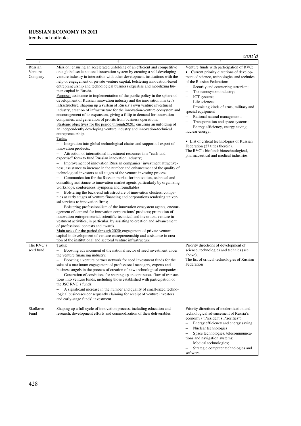#### **RUSSIAN ECONOMY IN 2011**

trends and outlooks

#### *cont'd*

| 1                             | $\overline{2}$                                                                                                                                                                                                                                                                                                                                                                                                                                                                                                                                                                                                                                                                                                                                                                                                                                                                                                                                                                                                                                                                                                                                                                                                                                                                                                                                                                                                                                                                                                                                                                                                                                                                                                                                                                                                                                                                                                                                                                                                                                                                                                                                                                                                                                                                                                                                                                                                                                                                                                                                                                                        | 3                                                                                                                                                                                                                                                                                                                                                                                                                                                                                                                                                                                                                                                                                                                                                                               |
|-------------------------------|-------------------------------------------------------------------------------------------------------------------------------------------------------------------------------------------------------------------------------------------------------------------------------------------------------------------------------------------------------------------------------------------------------------------------------------------------------------------------------------------------------------------------------------------------------------------------------------------------------------------------------------------------------------------------------------------------------------------------------------------------------------------------------------------------------------------------------------------------------------------------------------------------------------------------------------------------------------------------------------------------------------------------------------------------------------------------------------------------------------------------------------------------------------------------------------------------------------------------------------------------------------------------------------------------------------------------------------------------------------------------------------------------------------------------------------------------------------------------------------------------------------------------------------------------------------------------------------------------------------------------------------------------------------------------------------------------------------------------------------------------------------------------------------------------------------------------------------------------------------------------------------------------------------------------------------------------------------------------------------------------------------------------------------------------------------------------------------------------------------------------------------------------------------------------------------------------------------------------------------------------------------------------------------------------------------------------------------------------------------------------------------------------------------------------------------------------------------------------------------------------------------------------------------------------------------------------------------------------------|---------------------------------------------------------------------------------------------------------------------------------------------------------------------------------------------------------------------------------------------------------------------------------------------------------------------------------------------------------------------------------------------------------------------------------------------------------------------------------------------------------------------------------------------------------------------------------------------------------------------------------------------------------------------------------------------------------------------------------------------------------------------------------|
| Russian<br>Venture<br>Company | Mission: ensuring an accelerated unfolding of an efficient and competitive<br>on a global scale national innovation system by creating a self-developing<br>venture industry in interaction with other development institutions with the<br>help of engagement of private venture capital, bolstering innovation-based<br>entrepreneurship and technological business expertise and mobilizing hu-<br>man capital in Russia.<br>Purpose: assistance to implementation of the public policy in the sphere of<br>development of Russian innovation industry and the innovation market's<br>infrastructure, shaping up a system of Russia's own venture investment<br>industry, creation of infrastructure for the innovation-venture ecosystem and<br>encouragement of its expansion, giving a fillip to demand for innovation<br>companies, and generation of profits from business operations.<br>Strategic objectives for the period through 2020.: ensuring an unfolding of<br>an independently developing venture industry and innovation-technical<br>entrepreneurship.<br>Tasks:<br>Integration into global technological chains and support of export of<br>$\equiv$<br>innovation products;<br>Attraction of international investment resources in a "cash-and-<br>$\qquad \qquad -$<br>expertise" form to fund Russian innovation industry;<br>Improvement of innovation Russian companies' investment attractive-<br>$\qquad \qquad -$<br>ness; assistance to increase in the number and enhancement of the quality of<br>technological investors at all stages of the venture investing process;<br>Communication for the Russian market for innovation, technical and<br>consulting assistance to innovation market agents particularly by organizing<br>workshops, conferences, symposia and roundtables;<br>Bolstering the back-end infrastructure of innovation clusters, compa-<br>nies at early stages of venture financing and corporations rendering univer-<br>sal services to innovation firms;<br>Bolstering professionalism of the innovation ecosystem agents, encour-<br>agement of demand for innovation corporations' products; promotion of<br>innovation-entrepreneurial, scientific-technical and invention, venture in-<br>vestment activities, in particular, by assisting to creation and advancement<br>of professional contests and awards.<br>Main tasks for the period through 2020: engagement of private venture<br>capital in development of venture entrepreneurship and assistance in crea-<br>tion of the institutional and sectoral venture infrastructure | Venture funds with participation of RVC:<br>Current priority directions of develop-<br>$\bullet$<br>ment of science, technologies and technics<br>of the Russian Federation:<br>Security and countering terrorism;<br>$\qquad \qquad -$<br>The nanosystem industry;<br>ICT systems;<br>$\qquad \qquad -$<br>Life sciences;<br>$\overline{\phantom{0}}$<br>Promising kinds of arms, military and<br>special equipment<br>Rational natural management;<br>$\qquad \qquad -$<br>Transportation and space systems;<br>$\qquad \qquad -$<br>Energy efficiency, energy saving,<br>$\overline{a}$<br>nuclear energy;<br>• List of critical technologies of Russian<br>Federation (27 titles therein).<br>The RVC's biofund: biotechnological,<br>pharmaceutical and medical industries |
| The RVC's<br>seed fund        | Tasks:<br>Boosting advancement of the national sector of seed investment under<br>-<br>the venture financing industry;<br>Boosting a venture partner network for seed investment funds for the<br>-<br>sake of a maximum engagement of professional managers, experts and<br>business angels in the process of creation of new technological companies;<br>Generation of conditions for shaping up an continuous flow of transac-<br>tions into venture funds, including those established with participation of<br>the JSC RVC's funds;<br>A significant increase in the number and quality of small-sized techno-<br>logical businesses consequently claiming for receipt of venture investors<br>and early-stage funds' investment                                                                                                                                                                                                                                                                                                                                                                                                                                                                                                                                                                                                                                                                                                                                                                                                                                                                                                                                                                                                                                                                                                                                                                                                                                                                                                                                                                                                                                                                                                                                                                                                                                                                                                                                                                                                                                                                 | Priority directions of development of<br>science, technologies and technics (see<br>above);<br>The list of critical technologies of Russian<br>Federation                                                                                                                                                                                                                                                                                                                                                                                                                                                                                                                                                                                                                       |
| Skolkovo<br>Fund              | Shaping up a full cycle of innovation process, including education and<br>research, development efforts and commodization of their deliverables                                                                                                                                                                                                                                                                                                                                                                                                                                                                                                                                                                                                                                                                                                                                                                                                                                                                                                                                                                                                                                                                                                                                                                                                                                                                                                                                                                                                                                                                                                                                                                                                                                                                                                                                                                                                                                                                                                                                                                                                                                                                                                                                                                                                                                                                                                                                                                                                                                                       | Priority directions of modernization and<br>technological advancement of Russia's<br>economy ("President's Priorities"):<br>Energy efficiency and energy saving;<br>$\qquad \qquad -$<br>Nuclear technologies;<br>$\qquad \qquad -$<br>Space technologies, telecommunica-<br>$\qquad \qquad -$<br>tions and navigation systems;<br>Medical technologies;<br>Strategic computer technologies and<br>software                                                                                                                                                                                                                                                                                                                                                                     |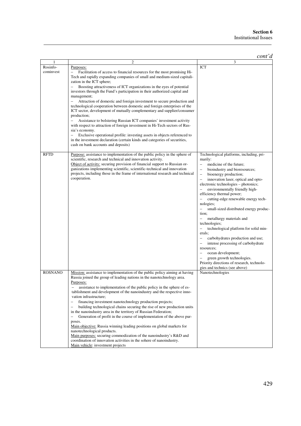|                       |                                                                                                                                                                                                                                                                                                                                                                                                                                                                                                                                                                                                                                                                                                                                                                                                                                                                                                                                                                                                                                                                             | cont'd                                                                                                                                                                                                                                                                                                                                                                                                                                                                                                                                                                                                                                                                                                                                                                                                                                    |
|-----------------------|-----------------------------------------------------------------------------------------------------------------------------------------------------------------------------------------------------------------------------------------------------------------------------------------------------------------------------------------------------------------------------------------------------------------------------------------------------------------------------------------------------------------------------------------------------------------------------------------------------------------------------------------------------------------------------------------------------------------------------------------------------------------------------------------------------------------------------------------------------------------------------------------------------------------------------------------------------------------------------------------------------------------------------------------------------------------------------|-------------------------------------------------------------------------------------------------------------------------------------------------------------------------------------------------------------------------------------------------------------------------------------------------------------------------------------------------------------------------------------------------------------------------------------------------------------------------------------------------------------------------------------------------------------------------------------------------------------------------------------------------------------------------------------------------------------------------------------------------------------------------------------------------------------------------------------------|
|                       | 2                                                                                                                                                                                                                                                                                                                                                                                                                                                                                                                                                                                                                                                                                                                                                                                                                                                                                                                                                                                                                                                                           | 3                                                                                                                                                                                                                                                                                                                                                                                                                                                                                                                                                                                                                                                                                                                                                                                                                                         |
| Rosinfo-<br>cominvest | Purposes:<br>$\overline{\phantom{0}}$<br>Facilitation of access to financial resources for the most promising Hi-<br>Tech and rapidly expanding companies of small and medium-sized capitali-<br>zation in the ICT sphere;<br>Boosting attractiveness of ICT organizations in the eyes of potential<br>$\overline{\phantom{0}}$<br>investors through the Fund's participation in their authorized capital and<br>management;<br>$\qquad \qquad -$<br>Attraction of domestic and foreign investment to secure production and<br>technological cooperation between domestic and foreign enterprises of the<br>ICT sector, development of mutually complementary and supplier/consumer<br>production;<br>Assistance to bolstering Russian ICT companies' investment activity<br>with respect to attraction of foreign investment in Hi-Tech sectors of Rus-<br>sia's economy.<br>Exclusive operational profile: investing assets in objects referenced to<br>in the investment declaration (certain kinds and categories of securities,<br>cash on bank accounts and deposits) | ICT                                                                                                                                                                                                                                                                                                                                                                                                                                                                                                                                                                                                                                                                                                                                                                                                                                       |
| <b>RFTD</b>           | Purpose: assistance to implementation of the public policy in the sphere of<br>scientific, research and technical and innovation activity.<br>Object of activity: securing provision of financial support to Russian or-<br>ganizations implementing scientific, scientific-technical and innovation<br>projects, including those in the frame of international research and technical<br>cooperation.                                                                                                                                                                                                                                                                                                                                                                                                                                                                                                                                                                                                                                                                      | Technological platforms, including, pri-<br>marily:<br>medicine of the future;<br>bioindustry and bioresources;<br>bioenergy production;<br>$\overline{\phantom{0}}$<br>innovation laser, optical and opto-<br>$\overline{\phantom{0}}$<br>electronic technologies – photonics;<br>environmentally friendly high-<br>efficiency thermal power;<br>cutting-edge renewable energy tech-<br>nologies;<br>$\overline{\phantom{0}}$<br>small-sized distributed energy produc-<br>tion;<br>metallurgy materials and<br>technologies;<br>technological platform for solid min-<br>erals:<br>carbohydrates production and use;<br>intense processing of carbohydrate<br>$\overline{\phantom{0}}$<br>resources;<br>ocean development;<br>green growth technologies.<br>Priority directions of research, technolo-<br>gies and technics (see above) |
| <b>ROSNANO</b>        | Mission: assistance to implementation of the public policy aiming at having<br>Russia joined the group of leading nations in the nanotechnology area.<br>Purposes:<br>assistance to implementation of the public policy in the sphere of es-<br>tablishment and development of the nanoindustry and the respective inno-<br>vation infrastructure;<br>financing investment nanotechnology production projects;<br>$\qquad \qquad -$<br>building technological chains securing the rise of new production units<br>$\overline{\phantom{0}}$<br>in the nanoindustry area in the territory of Russian Federation;<br>Generation of profit in the course of implementation of the above pur-<br>$\qquad \qquad -$<br>poses.<br>Main objective: Russia winning leading positions on global markets for<br>nanotechnological products.<br>Main purposes: securing commodization of the nanoindustry's R&D and<br>coordination of innovation activities in the sohere of nanoindustry.<br>Main vehicle: investment projects                                                        | Nanotechnologies                                                                                                                                                                                                                                                                                                                                                                                                                                                                                                                                                                                                                                                                                                                                                                                                                          |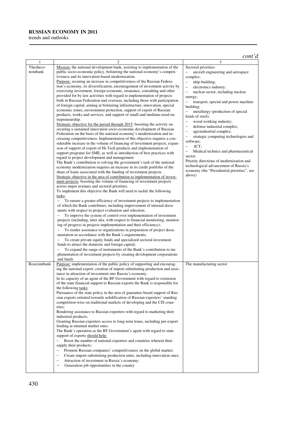#### **RUSSIAN ECONOMY IN 2011**

trends and outlooks

|             |                                                                                                                                                        | cont'd                                                                          |
|-------------|--------------------------------------------------------------------------------------------------------------------------------------------------------|---------------------------------------------------------------------------------|
|             | 2                                                                                                                                                      | 3                                                                               |
| Vhesheco-   | Mission: the national development bank, assisting to implementation of the                                                                             | Sectoral priorities:                                                            |
| nombank     | public socio-economic policy, bolstering the national economy's competi-                                                                               | aircraft engineering and aerospace<br>$\qquad \qquad -$                         |
|             | tiveness and its innovation-based modernization.<br>Purpose: securing an increase in competitiveness of the Russian Federa-                            | complex;<br>$\qquad \qquad -$                                                   |
|             | tion's economy, its diversification, encouragement of investment activity by                                                                           | ship-building;<br>electronics industry;<br>$\overline{\phantom{0}}$             |
|             | exercising investment, foreign economic, insurance, consulting and other                                                                               | nuclear sector, including nuclear<br>$\overline{\phantom{0}}$                   |
|             | provided for by law activities with regard to implementation of projects                                                                               | energy;                                                                         |
|             | both in Russian Federation and overseas, including those with participation                                                                            | $\overline{a}$<br>transport, special and power machine                          |
|             | of foreign capital, aiming at bolstering infrastructure, innovation, special                                                                           | building;                                                                       |
|             | economic zones, environment protection, support of export of Russian                                                                                   | metallurgy (production of special<br>$\qquad \qquad -$                          |
|             | products, works and services, and support of small-and medium-sized en-<br>trepreneurship.                                                             | kinds of steel);                                                                |
|             | Strategic objective for the period through 2015: boosting the activity on                                                                              | wood-working industry;<br>$\qquad \qquad -$                                     |
|             | securing a sustained innovation socio-economic development of Russian                                                                                  | defense-industrial complex;<br>$\overline{\phantom{0}}$                         |
|             | Federation on the basis of the national economy's modernization and in-                                                                                | agroindustrial complex;<br>$\overline{\phantom{0}}$<br>$\overline{\phantom{0}}$ |
|             | creasing competitiveness. Implementation of this objective requires a con-                                                                             | strategic computing technologies and<br>software;                               |
|             | siderable increase in the volume of financing of investment projects, expan-                                                                           | ICT;<br>$\overline{\phantom{0}}$                                                |
|             | sion of support of export of Hi-Tech products and implementation of<br>support programs for SME, as well as introduction of best practices with        | Medical technics and pharmaceutical<br>$\overline{\phantom{0}}$                 |
|             | regard to project development and management.                                                                                                          | sector.                                                                         |
|             | The Bank's contribution to solving the government's task of the national                                                                               | Priority directions of modernization and                                        |
|             | economy modernization requires an increase in its credit portfolio of the                                                                              | technological advancement of Russia's                                           |
|             | share of loans associated with the funding of investment projects.                                                                                     | economy (the "Presidential priorities", see                                     |
|             | Strategic objective in the area of contribution to implementation of invest-                                                                           | above)                                                                          |
|             | ment projects: boosting the volume of financing of investment projects                                                                                 |                                                                                 |
|             | across major avenues and sectoral priorities.<br>To implement this objective the Bank will need to tackle the following                                |                                                                                 |
|             | tasks:                                                                                                                                                 |                                                                                 |
|             | To ensure a greater efficiency of investment projects to implementation<br>$\qquad \qquad -$                                                           |                                                                                 |
|             | of which the Bank contributes, including improvement of internal docu-                                                                                 |                                                                                 |
|             | ments with respect to project evaluation and selection;                                                                                                |                                                                                 |
|             | To improve the system of control over implementation of investment<br>$\overline{\phantom{0}}$                                                         |                                                                                 |
|             | projects (including, inter alia, with respect to financial monitoring, monitor-                                                                        |                                                                                 |
|             | ing of progress in projects implementation and their efficiency);<br>$\equiv$<br>To render assistance to organizations in preparation of project docu- |                                                                                 |
|             | mentation in accordance with the Bank's requirements;                                                                                                  |                                                                                 |
|             | $\overline{\phantom{0}}$<br>To create private equity funds and specialized sectoral investment                                                         |                                                                                 |
|             | funds to attract the domestic and foreign capital;                                                                                                     |                                                                                 |
|             | To expand the range of instruments of the Bank's contribution to im-<br>$\overline{\phantom{0}}$                                                       |                                                                                 |
|             | plementation of investment projects by creating development corporations                                                                               |                                                                                 |
|             | and funds                                                                                                                                              |                                                                                 |
| Roseximbank | Purpose: implementation of the public policy of supporting and encourag-                                                                               | The manufacturing sector                                                        |
|             | ing the national export, creation of import-substituting production and assis-<br>tance in attraction of investment into Russia's economy.             |                                                                                 |
|             | In its capacity of an agent of the RF Government with regard to extension                                                                              |                                                                                 |
|             | of the state financial support to Russian exports the Bank is responsible for                                                                          |                                                                                 |
|             | the following tasks:                                                                                                                                   |                                                                                 |
|             | Pursuance of the state policy in the area of guarantee-based support of Rus-                                                                           |                                                                                 |
|             | sian exports oriented towards solidification of Russian exporters' standing                                                                            |                                                                                 |
|             | competition-wise on traditional markets of developing and the CIS coun-<br>tries;                                                                      |                                                                                 |
|             | Rendering assistance to Russian exporters with regard to marketing their                                                                               |                                                                                 |
|             | industrial products;                                                                                                                                   |                                                                                 |
|             | Granting Russian exporters access to long-term loans, including pre-export                                                                             |                                                                                 |
|             | lending at minimal market rates.                                                                                                                       |                                                                                 |
|             | The Bank's operation as the RF Government's agent with regard to state                                                                                 |                                                                                 |
|             | support of exports should help:<br>Boost the number of national exporters and countries wherein their                                                  |                                                                                 |
|             | supply their products;                                                                                                                                 |                                                                                 |
|             | Promote Russian companies' competitiveness on the global market;<br>÷                                                                                  |                                                                                 |
|             | Create import-substituting production units, including innovation ones;                                                                                |                                                                                 |
|             | Attraction of investment in Russia's economy;<br>$\overline{\phantom{0}}$                                                                              |                                                                                 |
|             | Generation job opportunities in the country                                                                                                            |                                                                                 |
|             |                                                                                                                                                        |                                                                                 |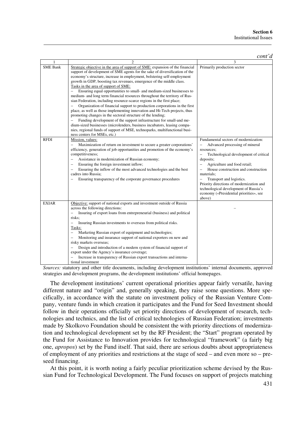|                 |                                                                                                                                                                                                                                                                                                                                                                                                                                                                                                                                                                                                                                                                                                                                                                                                                                                                                                                                                                                                                                                                                     | cont'd                                                                                                                                                                                                                                                                                                                                                                                                                             |
|-----------------|-------------------------------------------------------------------------------------------------------------------------------------------------------------------------------------------------------------------------------------------------------------------------------------------------------------------------------------------------------------------------------------------------------------------------------------------------------------------------------------------------------------------------------------------------------------------------------------------------------------------------------------------------------------------------------------------------------------------------------------------------------------------------------------------------------------------------------------------------------------------------------------------------------------------------------------------------------------------------------------------------------------------------------------------------------------------------------------|------------------------------------------------------------------------------------------------------------------------------------------------------------------------------------------------------------------------------------------------------------------------------------------------------------------------------------------------------------------------------------------------------------------------------------|
|                 |                                                                                                                                                                                                                                                                                                                                                                                                                                                                                                                                                                                                                                                                                                                                                                                                                                                                                                                                                                                                                                                                                     | 3                                                                                                                                                                                                                                                                                                                                                                                                                                  |
| <b>SME Bank</b> | Strategic objective in the area of support of SME: expansion of the financial<br>support of development of SME agents for the sake of diversification of the<br>economy's structure, increase in employment, bolstering self-employment<br>growth in GDP, boosting tax revenues, emergence of the middle class.<br>Tasks in the area of support of SME:<br>Ensuring equal opportunities to small- and medium-sized businesses to<br>medium- and long term financial resources throughout the territory of Rus-<br>sian Federation, including resource-scarce regions in the first place;<br>Organization of financial support to production corporations in the first<br>place, as well as those implementing innovation and Hi-Tech projects, thus<br>promoting changes in the sectoral structure of the lending;<br>Funding development of the support infrastructure for small-and me-<br>dium-sized businesses (microlenders, business incubators, leasing compa-<br>nies, regional funds of support of MSE, technoparks, multifunctional busi-<br>ness centers for MSEs, etc.) | Primarily production sector                                                                                                                                                                                                                                                                                                                                                                                                        |
| <b>RFDI</b>     | Mission, values:<br>Maximization of return on investment to secure a greater corporations'<br>efficiency, generation of job opportunities and promotion of the economy's<br>competitiveness;<br>Assistance in modernization of Russian economy;<br>$\qquad \qquad -$<br>Ensuring the foreign investment inflow;<br>$\qquad \qquad -$<br>Ensuring the inflow of the most advanced technologies and the best<br>$\overline{\phantom{0}}$<br>cadres into Russia:<br>Ensuring transparency of the corporate governance procedures                                                                                                                                                                                                                                                                                                                                                                                                                                                                                                                                                       | Fundamental sectors of modernization:<br>Advanced processing of mineral<br>resources;<br>Technological development of critical<br>$\overline{\phantom{0}}$<br>deposits;<br>Agriculture and food retail;<br>House construction and construction<br>materials:<br>Transport and logistics.<br>Priority directions of modernization and<br>technological development of Russia's<br>economy («Presidential priorities», see<br>above) |
| <b>EXIAR</b>    | Objective: support of national exports and investment outside of Russia<br>across the following directions:<br>Insuring of export loans from entrepreneurial (business) and political<br>$\qquad \qquad -$<br>risks;<br>Insuring Russian investments to overseas from political risks.<br>$\qquad \qquad -$<br>Tasks:<br>Marketing Russian export of equipment and technologies;<br>$\qquad \qquad -$<br>Monitoring and insurance support of national exporters on new and<br>risky markets overseas;<br>Design and introduction of a modern system of financial support of<br>$\overline{\phantom{0}}$<br>export under the Agency's insurance coverage;<br>Increase in transparency of Russian export transactions and interna-<br>tional investment                                                                                                                                                                                                                                                                                                                               |                                                                                                                                                                                                                                                                                                                                                                                                                                    |

*Sources:* statutory and other title documents, including development institutions' internal documents, approved strategies and development programs, the development institutions' official homepages.

The development institutions' current operational priorities appear fairly versatile, having different nature and "origin" and, generally speaking, they raise some questions. More specifically, in accordance with the statute on investment policy of the Russian Venture Company, venture funds in which creation it participates and the Fund for Seed Investment should follow in their operations officially set priority directions of development of research, technologies and technics, and the list of critical technologies of Russian Federation; investments made by Skolkovo Foundation should be consistent the with priority directions of modernization and technological development set by the RF President; the "Start" program operated by the Fund for Assistance to Innovation provides for technological "framework" (a fairly big one, *apropos*) set by the Fund itself. That said, there are serious doubts about appropriateness of employment of any priorities and restrictions at the stage of seed – and even more so – preseed financing.

At this point, it is worth noting a fairly peculiar prioritization scheme devised by the Russian Fund for Technological Development. The Fund focuses on support of projects matching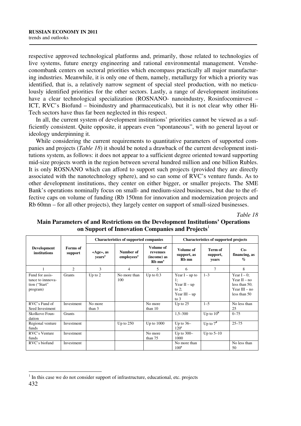respective approved technological platforms and, primarily, those related to technologies of live systems, future energy engineering and rational environmental management. Vensheconombank centers on sectoral priorities which encompass practically all major manufacturing industries. Meanwhile, it is only one of them, namely, metallurgy for which a priority was identified, that is, a relatively narrow segment of special steel production, with no meticulously identified priorities for the other sectors. Lastly, a range of development institutions have a clear technological specialization (ROSNANO- nanoindustry, Rosinfocominvest – ICT, RVC's Biofund – bioindustry and pharmaceuticals), but it is not clear why other Hi-Tech sectors have thus far been neglected in this respect.

In all, the current system of development institutions' priorities cannot be viewed as a sufficiently consistent. Quite opposite, it appears even "spontaneous", with no general layout or ideology underpinning it.

While considering the current requirements to quantitative parameters of supported companies and projects (*Table 18*) it should be noted a drawback of the current development institutions system, as follows: it does not appear to a sufficient degree oriented toward supporting mid-size projects worth in the region between several hundred million and one billion Rubles. It is only ROSNANO which can afford to support such projects (provided they are directly associated with the nanotechnology sphere), and so can some of RVC's venture funds. As to other development institutions, they center on either bigger, or smaller projects. The SME Bank's operations nominally focus on small- and medium-sized businesses, but due to the effective caps on volume of funding (Rb 150mn for innovation and modernization projects and Rb 60mn – for all other projects), they largely center on support of small-sized businesses.

*Table 18* 

|                                                                   |                     | <b>Characteristics of supported companies</b> |                                     |                                                              | <b>Characteristics of supported projects</b>                                      |                                     |                                                                                         |
|-------------------------------------------------------------------|---------------------|-----------------------------------------------|-------------------------------------|--------------------------------------------------------------|-----------------------------------------------------------------------------------|-------------------------------------|-----------------------------------------------------------------------------------------|
| <b>Development</b><br>institutions                                | Forms of<br>support | «Age», as<br>vears <sup>a</sup>               | Number of<br>employees <sup>a</sup> | Volume of<br>revenues<br>(income) as<br>$Rb$ mn <sup>a</sup> | Volume of<br>support, as<br>Rb mn                                                 | <b>Term of</b><br>support,<br>years | $Co-$<br>financing, as<br>$\%$                                                          |
|                                                                   | $\mathfrak{2}$      | 3                                             | 4                                   | 5                                                            | 6                                                                                 | 7                                   | 8                                                                                       |
| Fund for assis-<br>tance to innnova-<br>tion ("Start"<br>program) | <b>Grants</b>       | Up to $2$                                     | No more than<br>100                 | Up to $0.3$                                                  | Year $I - up$ to<br>1:<br>Year $II - up$<br>to $2$ ;<br>Year $III - up$<br>to $3$ | $1 - 3$                             | Year $I - 0$ ;<br>Year $II - no$<br>less than $50$ ;<br>Year $III - no$<br>less than 50 |
| RVC's Fund of<br>Seed Investment                                  | Investment          | No more<br>than $3$                           |                                     | No more<br>than $10$                                         | Up to $25$                                                                        | $1 - 5$                             | No less than<br>25                                                                      |
| Skolkovo Foun-<br>dation                                          | Grants              |                                               |                                     |                                                              | $1,5 - 300$                                                                       | Up to $10^b$                        | $0 - 75$                                                                                |
| Regional venture<br>funds                                         | Investment          |                                               | Up to $250$                         | Up to $1000$                                                 | Up to $36-$<br>120 <sup>c</sup>                                                   | Up to $7d$                          | $25 - 75$                                                                               |
| RVC's Venture<br>funds                                            | Investment          |                                               |                                     | No more<br>than 75                                           | Up to $300-$<br>1000                                                              | Up to $5-10$                        |                                                                                         |
| RVC's biofund                                                     | Investment          |                                               |                                     |                                                              | No more than<br>100 <sup>e</sup>                                                  |                                     | No less than<br>50                                                                      |

# **Main Parameters of and Restrictions on the Development Institutions' Operations on Support of Innovation Companies and Projects**<sup>1</sup>

<sup>432</sup>   $\overline{a}$  $<sup>1</sup>$  In this case we do not consider support of infrastructure, educational, etc. projects</sup>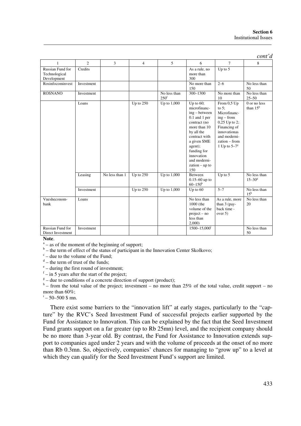|                                                  |                |                |                |                                  |                                                                                                                                                                                                                                     |                                                                                                                                                                  | cont'd                            |
|--------------------------------------------------|----------------|----------------|----------------|----------------------------------|-------------------------------------------------------------------------------------------------------------------------------------------------------------------------------------------------------------------------------------|------------------------------------------------------------------------------------------------------------------------------------------------------------------|-----------------------------------|
| $\mathbf{1}$                                     | $\overline{c}$ | 3              | $\overline{4}$ | 5                                | 6                                                                                                                                                                                                                                   | $\tau$                                                                                                                                                           | 8                                 |
| Russian Fund for<br>Technological<br>Development | Credits        |                |                |                                  | As a rule, no<br>more than<br>300                                                                                                                                                                                                   | Up to $5$                                                                                                                                                        |                                   |
| Rosinfocominyest                                 | Investment     |                |                |                                  | No more than<br>150                                                                                                                                                                                                                 | $2 - 6$                                                                                                                                                          | No less than<br>50                |
| <b>ROSNANO</b>                                   | Investment     |                |                | No less than<br>250 <sup>f</sup> | $300 - 1300$                                                                                                                                                                                                                        | No more than<br>10                                                                                                                                               | No less than<br>$25 - 50$         |
|                                                  | Loans          |                | Up to $250$    | Up to 1,000                      | Up to $60$ ;<br>microfinanc-<br>ing – between<br>$0.1$ and $1$ per<br>contract (no<br>more than 10<br>by all the<br>contract with<br>a given SME<br>agent);<br>funding for<br>innovation<br>and moderni-<br>$zation - up to$<br>150 | From $0.5$ Up<br>to $5$ :<br>Microfinanc-<br>$ing - from$<br>$0,25$ Up to 2;<br>Financing of<br>innovationas<br>and moderni-<br>zation – from<br>1 Up to $5-7^g$ | $0$ or no less<br>than $15g$      |
|                                                  | Leasing        | No less than 1 | Up to 250      | Up to 1,000                      | Between<br>$0.15 - 60$ up to<br>$60 - 150^b$                                                                                                                                                                                        | Up to $5$                                                                                                                                                        | No less than<br>$15 - 30^{\circ}$ |
|                                                  | Investment     |                | Up to $250$    | Up to 1,000                      | Up to $60$                                                                                                                                                                                                                          | $5 - 7$                                                                                                                                                          | No less than<br>$15^{\rm h}$      |
| Vnesheconom-<br>bank                             | Loans          |                |                |                                  | No less than<br>1000 (the<br>volume of the<br>$project - no$<br>less than<br>2,000                                                                                                                                                  | As a rule, more<br>than $3$ (pay-<br>back time -<br>over 5)                                                                                                      | No less than<br>20                |
| Russian Fund for<br>Direct Investment            | Investment     |                |                |                                  | 1500-15,000                                                                                                                                                                                                                         |                                                                                                                                                                  | No less than<br>50                |

**Note**.

<sup>a</sup> – as of the moment of the beginning of support;

 $b$  – the term of effect of the status of participant in the Innovation Center Skolkovo;

 $c -$  due to the volume of the Fund;

 $d$  – the term of trust of the funds;

<sup>e</sup> – during the first round of investment;

 $f - in 5$  years after the start of the project;

 $g =$  due to conditions of a concrete direction of support (product);

 $h$  – from the total value of the project; investment – no more than 25% of the total value, credit support – no more than 60%;

 $i - 50 - 500$  \$ mn.

There exist some barriers to the "innovation lift" at early stages, particularly to the "capture" by the RVC's Seed Investment Fund of successful projects earlier supported by the Fund for Assistance to Innovation. This can be explained by the fact that the Seed Investment Fund grants support on a far greater (up to Rb 25mn) level, and the recipient company should be no more than 3-year old. By contrast, the Fund for Assistance to Innovation extends support to companies aged under 2 years and with the volume of proceeds at the onset of no more than Rb 0.3mn. So, objectively, companies' chances for managing to "grow up" to a level at which they can qualify for the Seed Investment Fund's support are limited.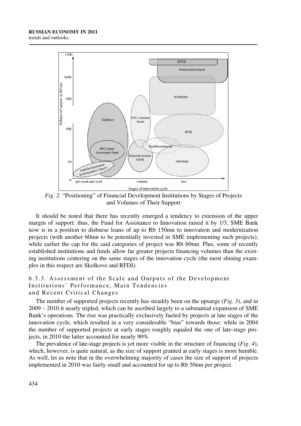

*Fig. 2.* "Positioning" of Financial Development Institutions by Stages of Projects and Volumes of Their Support

It should be noted that there has recently emerged a tendency to extension of the upper margin of support: thus, the Fund for Assistance to Innovation raised it by 1/3, SME Bank now is in a position to disburse loans of up to Rb 150mn to innovation and modernization projects (with another 60mn to be potentially invested in SME implementing such projects), while earlier the cap for the said categories of project was Rb 60mn. Plus, some of recently established institutions and funds allow far greater projects financing volumes than the existing institutions centering on the same stages of the innovation cycle (the most shining examples in this respect are Skolkovo and RFDI).

#### 6.3.3. Assessment of the Scale and Outputs of the Development Institutions' Performance, Main Tendencies and Recent Critical Changes

The number of supported projects recently has steadily been on the upsurge (*Fig. 3*), and in 2009 – 2010 it nearly tripled, which can be ascribed largely to a substantial expansion of SME Bank's operations. The rise was practically exclusively fueled by projects at late stages of the innovation cycle, which resulted in a very considerable "bias" towards those: while in 2004 the number of supported projects at early stages roughly equaled the one of late-stage projects, in 2010 the latter accounted for nearly 90%.

The prevalence of late-stage projects is yet more visible in the structure of financing (*Fig. 4*), which, however, is quite natural, as the size of support granted at early stages is more humble. As well, let us note that in the overwhelming majority of cases the size of support of projects implemented in 2010 was fairly small and accounted for up to Rb 50mn per project.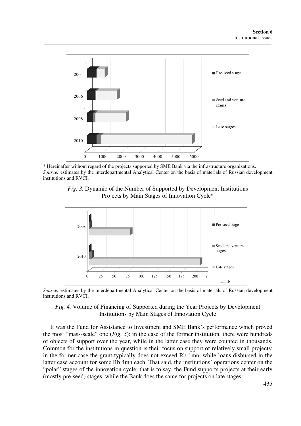

*\** Hereinafter without regard of the projects supported by SME Bank via the infrastructure organizations. *Source:* estimates by the interdepartmental Analytical Center on the basis of materials of Russian development institutions and RVCI.





*Source:* estimates by the interdepartmental Analytical Center on the basis of materials of Russian development institutions and RVCI.

#### *Fig. 4.* Volume of Financing of Supported during the Year Projects by Development Institutions by Main Stages of Innovation Cycle

It was the Fund for Assistance to Investment and SME Bank's performance which proved the most "mass-scale" one (*Fig. 5*): in the case of the former institution, there were hundreds of objects of support over the year, while in the latter case they were counted in thousands. Common for the institutions in question is their focus on support of relatively small projects: in the former case the grant typically does not exceed Rb 1mn, while loans disbursed in the latter case account for some Rb 4mn each. That said, the institutions' operations center on the "polar" stages of the innovation cycle: that is to say, the Fund supports projects at their early (mostly pre-seed) stages, while the Bank does the same for projects on late stages.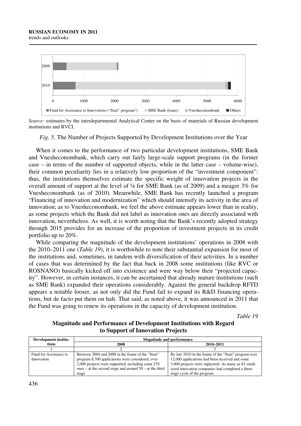trends and outlooks



*Source:* estimates by the interdepartmental Analytical Center on the basis of materials of Russian development institutions and RVCI.

*Fig. 5.* The Number of Projects Supported by Development Institutions over the Year

When it comes to the performance of two particular development institutions, SME Bank and Vnesheconombank, which carry out fairly large-scale support programs (in the former case – in terms of the number of supported objects, while in the latter case – volume-wise), their common peculiarity lies in a relatively low proportion of the "investment component": thus, the institutions themselves estimate the specific weight of innovation projects in the overall amount of support at the level of ¼ for SME Bank (as of 2009) and a meager 3% for Vnesheconombank (as of 2010). Meanwhile, SME Bank has recently launched a program "Financing of innovation and modernization" which should intensify its activity in the area of innovation; as to Vnesheconombank, we feel the above estimate appears lower than in reality, as some projects which the Bank did not label as innovation ones are directly associated with innovation, nevertheless. As well, it is worth noting that the Bank's recently adopted strategy through 2015 provides for an increase of the proportion of investment projects in its credit portfolio up to 20%.

While comparing the magnitude of the development institutions' operations in 2008 with the 2010–2011 one (*Table 19*), it is worthwhile to note their substantial expansion for most of the institutions and, sometimes, in tandem with diversification of their activities. In a number of cases that was determined by the fact that back in 2008 some institutions (like RVC or ROSNANO) basically kicked off into existence and were way below their "projected capacity". However, in certain instances, it can be ascertained that already mature institutions (such as SME Bank) expanded their operations considerably. Against the general backdrop RFTD appears a notable looser, as not only did the Fund fail to expand its R&D financing operations, but de facto put them on halt. That said, as noted above, it was announced in 2011 that the Fund was going to renew its operations in the capacity of development institution.

*Table 19* 

# **Magnitude and Performance of Development Institutions with Regard to Support of Innovation Projects**

| Development institu-                 | <b>Magnitude and performance</b>                                                                                                                                                                                        |                                                                                                                                                                                                                     |  |
|--------------------------------------|-------------------------------------------------------------------------------------------------------------------------------------------------------------------------------------------------------------------------|---------------------------------------------------------------------------------------------------------------------------------------------------------------------------------------------------------------------|--|
| tions                                | 2008                                                                                                                                                                                                                    | 2010-2011                                                                                                                                                                                                           |  |
|                                      |                                                                                                                                                                                                                         |                                                                                                                                                                                                                     |  |
| Fund for Assistance to<br>Innovation | Between 2004 and 2008 in the frame of the "Start"<br>program 8,700 applications were considered, over<br>2,000 projects were supported, including some 270<br>ones – at the second stage and around $50 - at$ the third | By late 2010 in the frame of the "Start" program over<br>12,000 applications had been received and some<br>3,000 projects were supported. As many as 82 small-<br>sized innovation companies had completed a three- |  |
|                                      | stage                                                                                                                                                                                                                   | stage cycle of the program                                                                                                                                                                                          |  |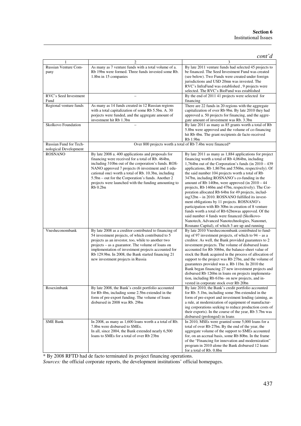|                                                 |                                                                                                                                                                                                                                                                                                                                                                                                        | $\text{cont'}d$                                                                                                                                                                                                                                                                                                                                                                                                                                                                                                                                                                                                                                                                                                                                                                                                                                                               |
|-------------------------------------------------|--------------------------------------------------------------------------------------------------------------------------------------------------------------------------------------------------------------------------------------------------------------------------------------------------------------------------------------------------------------------------------------------------------|-------------------------------------------------------------------------------------------------------------------------------------------------------------------------------------------------------------------------------------------------------------------------------------------------------------------------------------------------------------------------------------------------------------------------------------------------------------------------------------------------------------------------------------------------------------------------------------------------------------------------------------------------------------------------------------------------------------------------------------------------------------------------------------------------------------------------------------------------------------------------------|
|                                                 | 2                                                                                                                                                                                                                                                                                                                                                                                                      | 3                                                                                                                                                                                                                                                                                                                                                                                                                                                                                                                                                                                                                                                                                                                                                                                                                                                                             |
| Russian Venture Com-<br>pany                    | As many as 7 venture funds with a total volume of a.<br>Rb 19bn were formed. Three funds invested some Rb.<br>1.8bn in 15 companies                                                                                                                                                                                                                                                                    | By late 2011 venture funds had selected 45 projects to<br>be financed. The Seed Investment Fund was created<br>(see below). Two Funds were created under foreign<br>jurisdictions and USD 20mn was invested. The<br>RVC's InfraFund was established, 9 projects were<br>selected. The RVC's BioFund was established                                                                                                                                                                                                                                                                                                                                                                                                                                                                                                                                                           |
| RVC's Seed Investment<br>Fund                   |                                                                                                                                                                                                                                                                                                                                                                                                        | By the end of 2011 41 projects were selected for<br>financing                                                                                                                                                                                                                                                                                                                                                                                                                                                                                                                                                                                                                                                                                                                                                                                                                 |
| Regional venture funds                          | As many as 14 funds created in 12 Russian regions<br>with a total capitalization of some Rb 5.5bn. A. 30<br>porjects were funded, and the aggregate amount of<br>investment hit Rb 1.3bn                                                                                                                                                                                                               | There are 22 funds in 20 regions with the aggregate<br>capitalization of over Rb 9bn. By late 2010 they had<br>approved a. 50 projects for financing, and the aggre-<br>gate amount of investment was Rb. 3.3bn                                                                                                                                                                                                                                                                                                                                                                                                                                                                                                                                                                                                                                                               |
| Skolkovo Foundation                             |                                                                                                                                                                                                                                                                                                                                                                                                        | By late 2011 as many as 85 grants worth a total of Rb<br>5.8bn were approved and the volume of co-financing<br>hit Rb 4bn. The grant recipients de facto received<br>Rb 1.9bn                                                                                                                                                                                                                                                                                                                                                                                                                                                                                                                                                                                                                                                                                                 |
| Russian Fund for Tech-<br>nological Development |                                                                                                                                                                                                                                                                                                                                                                                                        | Over 800 projects worth a total of Rb 7.4bn were financed*                                                                                                                                                                                                                                                                                                                                                                                                                                                                                                                                                                                                                                                                                                                                                                                                                    |
| <b>ROSNANO</b>                                  | By late 2008 a. 400 applications and proposals for<br>financing were received for a total of Rb. 464bn,<br>including 310bn out of the corporation's funds. ROS-<br>NANO approved 7 projects (6 investment and 1 edu-<br>cational one) worth a total of Rb. 10.3bn, including<br>5.5bn – out for the Corporation's funds. Another 2<br>projects were launched with the funding amounting to<br>Rb 0.2bn | By late 2011 as many as 1,884 applications for project<br>financing worth a total of Rb 4,064bn, including<br>1,764bn out of the Corporation's funds (in $2010 - 439$ )<br>applications, Rb 1,867bn and 556bn, respectively). Of<br>the said number 104 projects worth a total of Rb<br>347bn, including ROSNANO's co-funding in the<br>amount of Rb 140bn, were approved (in $2010 - 44$ )<br>projects, Rb 146bn and 47bn, respectively). The Cor-<br>poration allocated Rb 64bn for 49 projects, includ-<br>ing32bn - in 2010. ROSNANO fulfilled its invest-<br>ment obligations by 11 projects. ROSNANO's<br>participation with Rb 30bn in creation of 8 venture<br>funds worth a total of Rb 62bnwas approved. Of the<br>said number 4 funds were financed (Skolkovo-<br>Nanotech, Advanced Nanotechnologies, Nanomet,<br>Rosnano Capital), of which 3 are up and running |
| Vnesheconombank                                 | By late 2008 as a creditor contributed to financing of<br>54 investment projects, of which contributed to 5<br>projects as an investor, too, while to another two<br>projects - as a guarantor. The volume of loans on<br>implementation of investment projects accounted for<br>Rb 129.9bn. In 2008, the Bank started financing 21<br>new investment projects in Russia                               | By late 2010 Vnesheconombank contributed to fund-<br>ing of 97 investment projects, of which to $94 - as a$<br>creditor. As well, the Bank provided guarantees to 2<br>investment projects. The volume of disbursed loans<br>accounted for Rb 306bn, the balance-sheet value of<br>stock the Bank acquired in the process of allocation of<br>support to the project was Rb 27bn, and the volume of<br>guarantees provided was a. Rb 11bn. In 2010 the<br>Bank began financing 27 new investment projects and<br>disbursed Rb 126bn in loans on projects implementa-<br>tion, including Rb 61bn- on new projects, and in-<br>vested in corporate stock over Rb 20bn                                                                                                                                                                                                           |
| Roseximbank                                     | By late 2008, the Bank's credit portfolio accounted<br>for Rb 4bn, including some 2.5bn extended in the<br>form of pre-export funding. The volume of loans<br>disbursed in 2008 was Rb. 29bn                                                                                                                                                                                                           | By late 2010, the Bank's credit portfolio accounted<br>for Rb. 5.1bn, including some 3bn extended in the<br>form of pre-export and investment lending (aiming, as<br>a rule, at modernization of equipment of manufactur-<br>ing corporations seeking to reduce production costs of<br>their exports). In the course of the year, Rb 3.7bn was<br>disbursed (prolonged) in loans                                                                                                                                                                                                                                                                                                                                                                                                                                                                                              |
| <b>SME Bank</b>                                 | In 2008, as many as 1,600 loans worth a a total of Rb.<br>7.8bn were disbursed to SMEs.<br>In all, since 2004, the Bank extended nearly 6,500<br>loans to SMEs for a total of over Rb 23bn                                                                                                                                                                                                             | In 2010, MSEs were granted some 5,000 loans for a<br>total of over Rb 27bn. By the end of the year, the<br>aggregate volume of the support to SMEs accounted<br>for, on an accrual basis, some Rb 80bn. In the frame<br>of the "Financing for innovation and modernization"<br>program in 2010 alone the Bank disbursed 12 loans<br>for a total of Rb. 0.8bn                                                                                                                                                                                                                                                                                                                                                                                                                                                                                                                  |

\* By 2008 RFTD had de facto terminated its project financing operations.

*Sources:* the official corporate reports, the development institutions' official homepages.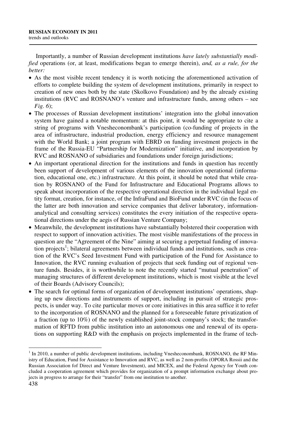Importantly, a number of Russian development institutions *have lately substantially modified* operations (or, at least, modifications began to emerge therein), *and, as a rule, for the better:* 

- As the most visible recent tendency it is worth noticing the aforementioned activation of efforts to complete building the system of development institutions, primarily in respect to creation of new ones both by the state (Skolkovo Foundation) and by the already existing institutions (RVC and ROSNANO's venture and infrastructure funds, among others – see *Fig. 6*);
- The processes of Russian development institutions' integration into the global innovation system have gained a notable momentum: at this point, it would be appropriate to cite a string of programs with Vnesheconombank's participation (co-funding of projects in the area of infrastructure, industrial production, energy efficiency and resource management with the World Bank; a joint program with EBRD on funding investment projects in the frame of the Russia-EU "Partnership for Modernization" initiative, and incorporation by RVC and ROSNANO of subsidiaries and foundations under foreign jurisdictions;
- An important operational direction for the institutions and funds in question has recently been support of development of various elements of the innovation operational (information, educational one, etc.) infrastructure. At this point, it should be noted that while creation by ROSNANO of the Fund for Infrastructure and Educational Programs allows to speak about incorporation of the respective operational direction in the individual legal entity format, creation, for instance, of the InfraFund and BioFund under RVC (in the focus of the latter are both innovation and service companies that deliver laboratory, informationanalytical and consulting services) constitutes the every initiation of the respective operational directions under the aegis of Russian Venture Company;
- Meanwhile, the development institutions have substantially bolstered their cooperation with respect to support of innovation activities. The most visible manifestations of the process in question are the "Agreement of the Nine" aiming at securing a perpetual funding of innovation projects<sup>1</sup>; bilateral agreements between individual funds and institutions, such as creation of the RVC's Seed Investment Fund with participation of the Fund for Assistance to Innovation, the RVC running evaluation of projects that seek funding out of regional venture funds. Besides, it is worthwhile to note the recently started "mutual penetration" of managing structures of different development institutions, which is most visible at the level of their Boards (Advisory Councils);
- The search for optimal forms of organization of development institutions' operations, shaping up new directions and instruments of support, including in pursuit of strategic prospects, is under way. To cite particular moves or core initiatives in this area suffice it to refer to the incorporation of ROSNANO and the planned for a foreseeable future privatization of a fraction (up to 10%) of the newly established joint-stock company's stock; the transformation of RFTD from public institution into an autonomous one and renewal of its operations on supporting R&D with the emphasis on projects implemented in the frame of tech-

 $<sup>1</sup>$  In 2010, a number of public development institutions, including Vnesheconombank, ROSNANO, the RF Min-</sup> istry of Education, Fund for Assistance to Innovation and RVC, as well as 2 non-profits (OPORA Rossii and the Russian Association fof Direct and Venture Investment), and MICEX, and the Federal Agency for Youth concluded a cooperation agreement which provides for organization of a prompt information exchange about projects in progress to arrange for their "transfer" from one institution to another.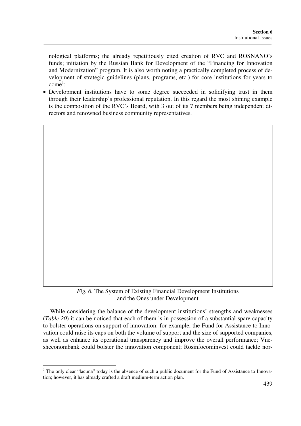nological platforms; the already repetitiously cited creation of RVC and ROSNANO's funds; initiation by the Russian Bank for Development of the "Financing for Innovation and Modernization" program. It is also worth noting a practically completed process of development of strategic guidelines (plans, programs, etc.) for core institutions for years to  $com\bar{e}^1$ ;

• Development institutions have to some degree succeeded in solidifying trust in them through their leadership's professional reputation. In this regard the most shining example is the composition of the RVC's Board, with 3 out of its 7 members being independent directors and renowned business community representatives.

*Fig. 6.* The System of Existing Financial Development Institutions and the Ones under Development

While considering the balance of the development institutions' strengths and weaknesses (*Table 20*) it can be noticed that each of them is in possession of a substantial spare capacity to bolster operations on support of innovation: for example, the Fund for Assistance to Innovation could raise its caps on both the volume of support and the size of supported companies, as well as enhance its operational transparency and improve the overall performance; Vnesheconombank could bolster the innovation component; Rosinfocominvest could tackle nor-

<sup>&</sup>lt;sup>1</sup> The only clear "lacuna" today is the absence of such a public document for the Fund of Assistance to Innovation; however, it has already crafted a draft medium-term action plan.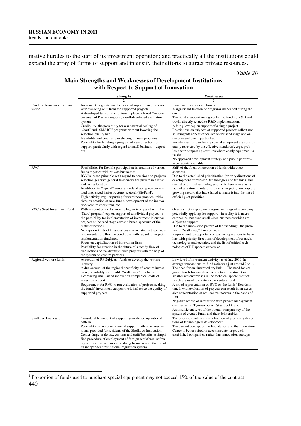mative hurdles to the start of its investment operation; and practically all the institutions could expand the array of forms of support and intensify their efforts to attract private resources.

*Table 20* 

# **Main Strengths and Weaknesses of Development Institutions with Respect to Support of Innovation**

|                                        | <b>Strengths</b>                                                                                                                                                                                                                                                                                                                                                                                                                                                                                                                                                                                                                                   | Weaknesses                                                                                                                                                                                                                                                                                                                                                                                                                                                                                                                                                                                                                                                                                                                                                              |  |  |
|----------------------------------------|----------------------------------------------------------------------------------------------------------------------------------------------------------------------------------------------------------------------------------------------------------------------------------------------------------------------------------------------------------------------------------------------------------------------------------------------------------------------------------------------------------------------------------------------------------------------------------------------------------------------------------------------------|-------------------------------------------------------------------------------------------------------------------------------------------------------------------------------------------------------------------------------------------------------------------------------------------------------------------------------------------------------------------------------------------------------------------------------------------------------------------------------------------------------------------------------------------------------------------------------------------------------------------------------------------------------------------------------------------------------------------------------------------------------------------------|--|--|
| 1                                      | $\overline{c}$                                                                                                                                                                                                                                                                                                                                                                                                                                                                                                                                                                                                                                     | 3                                                                                                                                                                                                                                                                                                                                                                                                                                                                                                                                                                                                                                                                                                                                                                       |  |  |
| Fund for Assistance to Inno-<br>vation | Implements a grant-based scheme of support, no problems<br>with "walking out" from the supported projects.<br>A developed territorial structure in place, a broad "encom-<br>passing" of Russian regions, a well-developed evaluation<br>system.<br>Credibility, the possibility for a substantial scaling of<br>"Start" and "SMART" programs without lowering the<br>selection quality bar.<br>Flexibility and creativity in shaping up new programs.<br>Possibility for building a program of new directions of<br>support, particularly with regard to small business - export-<br>ers                                                          | Financial resources are limited.<br>A significant fraction of programs suspended during the<br>crisis.<br>The Fund's support may go only into funding R&D and<br>works directly related to R&D implementation.<br>A fairly low cap on support of a single project.<br>Restrictions on subjects of supported projects (albeit not<br>so stringent) appear excessive on the seed stage and on<br>the pre-seed one in particular.<br>Possibilities for purchasing special equipment are consid-<br>erably restricted by the effective standards <sup>1</sup> , ergo, prob-<br>lems with supporting start-ups where costly equipment is<br>needed.<br>No approved development strategy and public perform-<br>ance reports available                                        |  |  |
| <b>RVC</b>                             | Possibilities for flexible participation in creation of various                                                                                                                                                                                                                                                                                                                                                                                                                                                                                                                                                                                    | Shift of the focus on creation of funds without co-                                                                                                                                                                                                                                                                                                                                                                                                                                                                                                                                                                                                                                                                                                                     |  |  |
|                                        | funds together with private businesses.<br>RVC's lessen principle with regard to decisions on projects<br>selection generate general framework for private initiative<br>and risk allocation.<br>In addition to "typical" venture funds, shaping up special-<br>ized ones (seed, infrastructure, sectoral (BioFund).<br>High activity, regular putting forward new practical initia-<br>tives on creation of new funds, development of the innova-<br>tion-venture ecosystem, etc.                                                                                                                                                                 | sponsors.<br>Due to the established prioritization (priority directions of<br>development of research, technologies and technics, and<br>the list of critical technologies of RF) there may exist a<br>lack of attention to interdisciplinary projects, new, rapidly<br>growing sectors that have failed to make it into the list of<br>officially set priorities                                                                                                                                                                                                                                                                                                                                                                                                       |  |  |
| RVC's Seed Investment Fund             | With account of a substantially higher (compared with the<br>'Start'' program) cap on support of a individual project -s<br>the possibility for implementation of investment-intensive<br>projects at the seed stage across a broad spectrum of the-<br>matic directions.<br>No caps on kinds of financial costs associated with projects<br>implementation, flexible conditions with regard to projects<br>implementation timelines.<br>Focus on capitalization of innovation firms.<br>Possibility for creation in the future of a steady flow of<br>transactions on "walkaway" from projects with the help of<br>the system of venture partners | Overly strict capping on marginal earnings of a company<br>potentially applying for support – in reality it is micro-<br>companies, not even small-sized businesses which are<br>subject to support.<br>Due to the innovation pattern of the "seeding", the prob-<br>lem of "walkaway" from projects.<br>Requirement to supported companies' operations to be in<br>line with priority directions of development of research,<br>technologies and technics, and the list of critical tech-<br>nologies of RF appears excessive                                                                                                                                                                                                                                          |  |  |
| Regional venture funds                 | Attraction of RF Subjects' funds to develop the venture<br>industry.<br>A due account of the regional specificity of venture invest-<br>ment, possibility for flexible "walkaway" timelines.<br>Decreasing small-sized innovation companies' costs of<br>access to support<br>Requirement for RVC to run evaluation of projects seeking<br>the funds' investment can positively influence the quality of<br>supported projects                                                                                                                                                                                                                     | Low level of investment activity: as of late 2010 the<br>average transactions-to-fund ratio was just around 2 to 1.<br>The need for an "intermediary link" – The need for «re-<br>gional funds for assistance to venture investment in<br>small-sized enterprises in the technical sphere most of<br>which are used to create a sole venture fund.<br>A broad representation of RVC on the funds' Boards in<br>tuned, with evaluation of projects can result in an exces-<br>sive concentration of real control powers in the hands of<br>RVC.<br>Negative record of interaction with private management<br>companies (in Tyumen oblast, Stavropol krai).<br>An insufficient level of the overall transparency of the<br>system of created funds and their deliverables |  |  |
| Skolkovo Foundation                    | Considerable amount of support, grant-based operational<br>pattern.<br>Possibility to combine financial support with other mecha-<br>nisms provided for residents of the Skolkovo Innovation<br>Center: large-scale tax, customs and tariff benefits, a simpli-<br>fied procedure of employment of foreign workforce, soften-<br>ing administrative barriers to doing business with the use of<br>an independent institutional regulation system                                                                                                                                                                                                   | The priorities embrace just a fraction of promising direc-<br>tions of technological development.<br>The current concept of the Foundation and the Innovation<br>Center is better suited to accommodate large, well-<br>established companies, rather than innovation startups                                                                                                                                                                                                                                                                                                                                                                                                                                                                                          |  |  |

<sup>440</sup>  <sup>1</sup> Proportion of funds used to purchase special equipment may not exceed 15% of the value of the contract .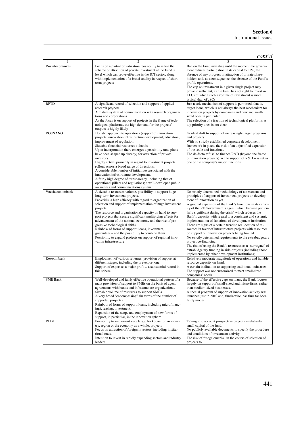|                  | $\overline{2}$                                                                                                                                                                                                                                                                                                                                                                                                                                                                                                                                                                                                                                                                                                          | cont'd<br>3                                                                                                                                                                                                                                                                                                                                                                                                                                                                                                                                                                                                                                                                                                                                                                                                                                                                                              |
|------------------|-------------------------------------------------------------------------------------------------------------------------------------------------------------------------------------------------------------------------------------------------------------------------------------------------------------------------------------------------------------------------------------------------------------------------------------------------------------------------------------------------------------------------------------------------------------------------------------------------------------------------------------------------------------------------------------------------------------------------|----------------------------------------------------------------------------------------------------------------------------------------------------------------------------------------------------------------------------------------------------------------------------------------------------------------------------------------------------------------------------------------------------------------------------------------------------------------------------------------------------------------------------------------------------------------------------------------------------------------------------------------------------------------------------------------------------------------------------------------------------------------------------------------------------------------------------------------------------------------------------------------------------------|
| Rosinfocominvest | Focus on a partial privatization, possibility to refine the<br>scheme of attraction of private investment at the Fund's<br>level which can prove effective in the ICT sector, along<br>with implementation of a broad totality in respect of short-<br>term projects                                                                                                                                                                                                                                                                                                                                                                                                                                                    | Ban on the Fund investing until the moment the govern-<br>ment reduces participation in its capital to 51%, the<br>absence of any progress in attraction of private share-<br>holders and, as a consequence, the absence of the Fund's<br>profile operations.<br>The cap on investment in a given single project may<br>prove insufficient, as the Fund has not right to invest in<br>LLCs of which such a volume of investment is more<br>typical than of JSCs                                                                                                                                                                                                                                                                                                                                                                                                                                          |
| <b>RFTD</b>      | A significant record of selection and support of applied<br>research projects.<br>A mature system of communication with research organiza-<br>tions and corporations.<br>As the focus is on support of projects in the frame of tech-<br>nological platforms, the high demand for the projects'<br>outputs is highly likely                                                                                                                                                                                                                                                                                                                                                                                             | Just a sole mechanism of support is permitted, that is,<br>target loans, which is not always the best mechanism for<br>innovation projects by companies and new and small-<br>sized ones in particular.<br>The selection of a fraction of technological platforms as<br>top priority ones is not clear                                                                                                                                                                                                                                                                                                                                                                                                                                                                                                                                                                                                   |
| <b>ROSNANO</b>   | Holistic approach to operations (support of innovation<br>projects, innovation infrastructure development, education,<br>improvement of regulation.<br>Sizeable financial resources at hands.<br>Upon incorporation there emerges a possibility (and plans<br>have been shaped up already) for attraction of private<br>investors.<br>Highly active, primarily in regard to investment projects<br>rollout across a broad range of directions.<br>A considerable number of initiatives associated with the<br>innovation infrastructure development.<br>A fairly high degree of transparency, including that of<br>operational pillars and regulations; a well-developed public<br>awareness and communications system. | Gradual drift to support of increasingly larger programs<br>and projects.<br>With no strictly established corporate development<br>framework in place, the risk of an unjustified expansion<br>of the scale and functions.<br>The de-facto refusal to finance R&D (beyond the frame<br>of innovation projects), while support of R&D was set as<br>one of the company's major functions                                                                                                                                                                                                                                                                                                                                                                                                                                                                                                                  |
| Vnesheconombank  | A sizeable resources volume, possibility to support huge<br>long-term investment projects.<br>Pre-crisis, a high efficacy with regard to organization of<br>selection and support of implementation of huge investment<br>projects.<br>The resource and organizational capacity on hand to sup-<br>port projects that secure significant multiplying effects for<br>advancement of the national economy and the rise of pro-<br>gressive technological shifts.<br>Rainbow of forms of support: loans, investment,<br>guarantees – and the possibility to combine them.<br>Possibility to expand projects on support of regional inno-<br>vation infrastructure                                                          | No strictly determined methodology of assessment and<br>principles of support of investment projects on develop-<br>ment of innovation as yet.<br>A gradual expansion of the Bank's functions in its capac-<br>ity of the RF Government's agent (which became particu-<br>larly significant during the crisis) which reduces the<br>Bank's capacity with regard to a consistent and systemic<br>implementation of functions of development institution.<br>There are signs of a certain trend to reallocation of re-<br>sources in favor of infrastructure projects with resources<br>on support of innovation projects being limited.<br>No strictly determined requirements to the extrabudgetary<br>project co-financing.<br>The risk of using the Bank's resources as a "surrogate" of<br>extrabudgetary funding in side-projects (including those<br>implemented by other development institutions) |
| Roseximbank      | Employment of various schemes, provision of support at<br>different stages, including the pre-export one.<br>Support of export as a major profile, a substantial record in<br>this sphere                                                                                                                                                                                                                                                                                                                                                                                                                                                                                                                               | Relatively moderate magnitude of operations and humble<br>resource capacity on hand.<br>A certain inclination to supporting traditional industries.<br>The support was not customized to meet small-sized<br>companies' needs                                                                                                                                                                                                                                                                                                                                                                                                                                                                                                                                                                                                                                                                            |
| <b>SME Bank</b>  | Well-developed and fairly effective operational pattern of a<br>mass provision of support to SMEs on the basis of agent<br>agreements with banks and infrastructure organizations.<br>Sizeable volume of resources to support SMEs.<br>A very broad "encompassing" (in terms of the number of<br>supported projects).<br>Rainbow of forms of support: loans, including microfinanc-<br>ing), leasing, investment.<br>Expansion of the scope and employment of new forms of<br>support, in particular, in the innovation sphere                                                                                                                                                                                          | Because of the effective caps on loans, the Bank focuses<br>largely on support of small-sized and micro-firms, rather<br>than medium-sized businesses.<br>A special program of support of innovation activity was<br>launched just in 2010 and, funds-wise, has thus far been<br>fairly modest                                                                                                                                                                                                                                                                                                                                                                                                                                                                                                                                                                                                           |
| <b>RFDI</b>      | Possibility to implement very large, backbone for an indus-<br>try, region or the economy as a whole, projects<br>Focus on attraction of foreign investors, including institu-<br>tional ones.<br>Intention to invest in rapidly expanding sectors and industry<br>leaders                                                                                                                                                                                                                                                                                                                                                                                                                                              | Taking into account prospective projects - relatively<br>small capital of the fund.<br>No publicly available documents to specify the procedure<br>and conditions of investment activity.<br>The risk of "megalomania" in the course of selection of<br>projects to                                                                                                                                                                                                                                                                                                                                                                                                                                                                                                                                                                                                                                      |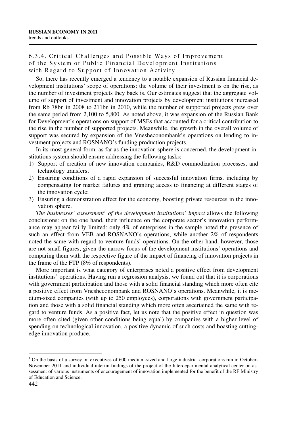# 6.3.4. Critical Challenges and Possible Ways of Improvement of the System of Public Financial Development Institutions with Regard to Support of Innovation Activity

So, there has recently emerged a tendency to a notable expansion of Russian financial development institutions' scope of operations: the volume of their investment is on the rise, as the number of investment projects they back is. Our estimates suggest that the aggregate volume of support of investment and innovation projects by development institutions increased from Rb 78bn in 2008 to 211bn in 2010, while the number of supported projects grew over the same period from 2,100 to 5,800. As noted above, it was expansion of the Russian Bank for Development's operations on support of MSEs that accounted for a critical contribution to the rise in the number of supported projects. Meanwhile, the growth in the overall volume of support was secured by expansion of the Vnesheconombank's operations on lending to investment projects and ROSNANO's funding production projects.

In its most general form, as far as the innovation sphere is concerned, the development institutions system should ensure addressing the following tasks:

- 1) Support of creation of new innovation companies, R&D commodization processes, and technology transfers;
- 2) Ensuring conditions of a rapid expansion of successful innovation firms, including by compensating for market failures and granting access to financing at different stages of the innovation cycle;
- 3) Ensuring a demonstration effect for the economy, boosting private resources in the innovation sphere.

*The businesses' assessment<sup>1</sup> of the development institutions' impact allows the following* conclusions: on the one hand, their influence on the corporate sector's innovation performance may appear fairly limited: only 4% of enterprises in the sample noted the presence of such an effect from VEB and ROSNANO's operations, while another 2% of respondents noted the same with regard to venture funds' operations. On the other hand, however, those are not small figures, given the narrow focus of the development institutions' operations and comparing them with the respective figure of the impact of financing of innovation projects in the frame of the FTP (8% of respondents).

More important is what category of enterprises noted a positive effect from development institutions' operations. Having run a regression analysis, we found out that it is corporations with government participation and those with a solid financial standing which more often cite a positive effect from Vnesheconombank and ROSNANO's operations. Meanwhile, it is medium-sized companies (with up to 250 employees), corporations with government participation and those with a solid financial standing which more often ascertained the same with regard to venture funds. As a positive fact, let us note that the positive effect in question was more often cited (given other conditions being equal) by companies with a higher level of spending on technological innovation, a positive dynamic of such costs and boasting cuttingedge innovation produce.

<sup>&</sup>lt;sup>1</sup> On the basis of a survey on executives of 600 medium-sized and large industrial corporations run in October-November 2011 and individual interim findings of the project of the Interdepartmental analytical center on assessment of various instruments of encouragement of innovation implemented for the benefit of the RF Ministry of Education and Science.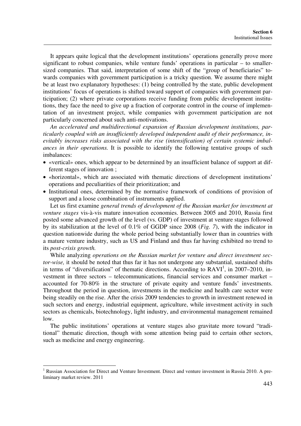It appears quite logical that the development institutions' operations generally prove more significant to robust companies, while venture funds' operations in particular – to smallersized companies. That said, interpretation of some shift of the "group of beneficiaries" towards companies with government participation is a tricky question. We assume there might be at least two explanatory hypotheses: (1) being controlled by the state, public development institutions' focus of operations is shifted toward support of companies with government participation; (2) where private corporations receive funding from public development institutions, they face the need to give up a fraction of corporate control in the course of implementation of an investment project, while companies with government participation are not particularly concerned about such anti-motivations.

*An accelerated and multidirectional expansion of Russian development institutions, particularly coupled with an insufficiently developed independent audit of their performance, inevitably increases risks associated with the rise (intensification) of certain systemic imbalances in their operations.* It is possible to identify the following tentative groups of such imbalances:

- «vertical» ones, which appear to be determined by an insufficient balance of support at different stages of innovation ;
- «horizontal», which are associated with thematic directions of development institutions' operations and peculiarities of their prioritization; and
- Institutional ones, determined by the normative framework of conditions of provision of support and a loose combination of instruments applied.

Let us first examine *general trends of development of the Russian market for investment at venture stages* vis-à-vis mature innovation economies. Between 2005 and 2010, Russia first posted some advanced growth of the level (vs. GDP) of investment at venture stages followed by its stabilization at the level of 0.1% of GGDP since 2008 (*Fig. 7*), with the indicator in question nationwide during the whole period being substantially lower than in countries with a mature venture industry, such as US and Finland and thus far having exhibited no trend to its *post-crisis growth.*

While analyzing *operations on the Russian market for venture and direct investment sector-wise,* it should be noted that thus far it has not undergone any substantial, sustained shifts in terms of "diversification" of thematic directions. According to  $RAVI<sup>1</sup>$ , in 2007–2010, investment in three sectors – telecommunications, financial services and consumer market – accounted for 70-80% in the structure of private equity and venture funds' investments. Throughout the period in question, investments in the medicine and health care sector were being steadily on the rise. After the crisis 2009 tendencies to growth in investment renewed in such sectors and energy, industrial equipment, agriculture, while investment activity in such sectors as chemicals, biotechnology, light industry, and environmental management remained low.

The public institutions' operations at venture stages also gravitate more toward "traditional" thematic direction, though with some attention being paid to certain other sectors, such as medicine and energy engineering.

<sup>&</sup>lt;sup>1</sup> Russian Association for Direct and Venture Investment. Direct and venture investment in Russia 2010. A preliminary market review. 2011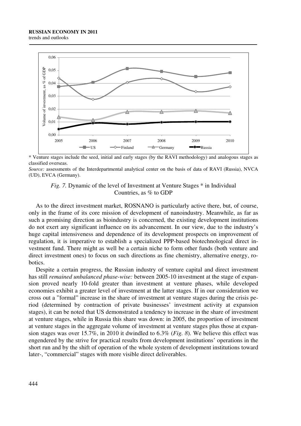



\* Venture stages include the seed, initial and early stages (by the RAVI methodology) and analogous stages as classified overseas.

*Source:* assessments of the Interdepartmental analytical center on the basis of data of RAVI (Russia), NVСA (UD), EVСA (Germany).



As to the direct investment market, ROSNANO is particularly active there, but, of course, only in the frame of its core mission of development of nanoindustry. Meanwhile, as far as such a promising direction as bioindustry is concerned, the existing development institutions do not exert any significant influence on its advancement. In our view, due to the industry's huge capital intensiveness and dependence of its development prospects on improvement of regulation, it is imperative to establish a specialized PPP-based biotechnological direct investment fund. There might as well be a certain niche to form other funds (both venture and direct investment ones) to focus on such directions as fine chemistry, alternative energy, robotics.

Despite a certain progress, the Russian industry of venture capital and direct investment has still *remained unbalanced phase-wise:* between 2005-10 investment at the stage of expansion proved nearly 10-fold greater than investment at venture phases, while developed economies exhibit a greater level of investment at the latter stages. If in our consideration we cross out a "formal" increase in the share of investment at venture stages during the crisis period (determined by contraction of private businesses' investment activity at expansion stages), it can be noted that US demonstrated a tendency to increase in the share of investment at venture stages, while in Russia this share was down: in 2005, the proportion of investment at venture stages in the aggregate volume of investment at venture stages plus those at expansion stages was over 15.7%, in 2010 it dwindled to 6.3% (*Fig. 8*). We believe this effect was engendered by the strive for practical results from development institutions' operations in the short run and by the shift of operation of the whole system of development institutions toward later-, "commercial" stages with more visible direct deliverables.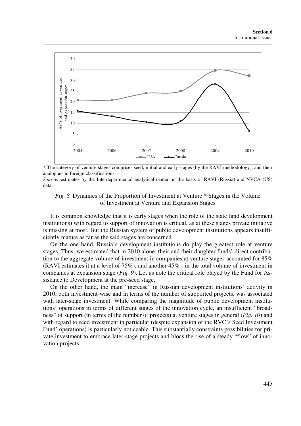

\* The category of venture stages comprises seed, initial and early stages (by the RAVI methodology), and their analogues in foreign classifications.

*Source:* estimates by the Interdepartmental analytical center on the basis of RAVI (Russia) and NVСA (US) data.

#### *Fig. 8.* Dynamics of the Proportion of Investment at Venture \* Stages in the Volume of Investment at Venture and Expansion Stages

It is common knowledge that it is early stages when the role of the state (and development institutions) with regard to support of innovation is critical, as at these stages private initiative is missing at most. But the Russian system of public development institutions appears insufficiently mature as far as the said stages are concerned.

On the one hand, Russia's development institutions do play the greatest role at venture stages. Thus, we estimated that in 2010 alone, their and their daughter funds' direct contribution to the aggregate volume of investment in companies at venture stages accounted for 85% (RAVI estimates it at a level of 75%), and another 45% - in the total volume of investment in companies at expansion stage (*Fig. 9*). Let us note the critical role played by the Fund for Assistance to Development at the pre-seed stage.

On the other hand, the main "increase" in Russian development institutions' activity in 2010, both investment-wise and in terms of the number of supported projects, was associated with later-stage investment. While comparing the magnitude of public development institutions' operations in terms of different stages of the innovation cycle, an insufficient "broadness" of support (in terms of the number of projects) at venture stages in general (*Fig. 10*) and with regard to seed investment in particular (despite expansion of the RVC's Seed Investment Fund' operations) is particularly noticeable. This substantially constraints possibilities for private investment to embrace later-stage projects and blocs the rise of a steady "flow" of innovation projects.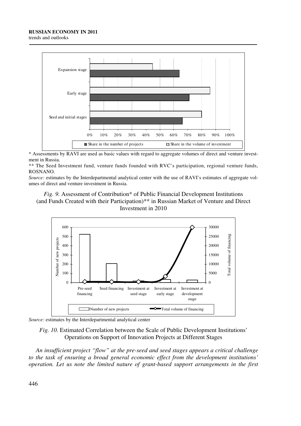#### **RUSSIAN ECONOMY IN 2011**

trends and outlooks



\* Assessments by RAVI are used as basic values with regard to aggregate volumes of direct and venture investment in Russia.

\*\* The Seed Investment fund, venture funds founded with RVC's participation, regional venture funds, ROSNANO.

*Source:* estimates by the Interdepartmental analytical center with the use of RAVI's estimates of aggregate volumes of direct and venture investment in Russia.

### *Fig. 9.* Assessment of Contribution\* of Public Financial Development Institutions (and Funds Created with their Participation)\*\* in Russian Market of Venture and Direct Investment in 2010



*Source:* estimates by the Interdepartmental analytical center

*Fig. 10.* Estimated Correlation between the Scale of Public Development Institutions' Operations on Support of Innovation Projects at Different Stages

*An insufficient project "flow" at the pre-seed and seed stages appears a critical challenge to the task of ensuring a broad general economic effect from the development institutions' operation. Let us note the limited nature of grant-based support arrangements in the first*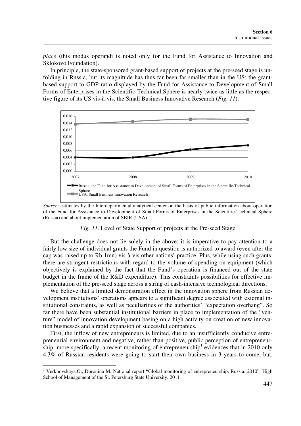*place* (this modus operandi is noted only for the Fund for Assistance to Innovation and Sklokovo Foundation).

In principle, the state-sponsored grant-based support of projects at the pre-seed stage is unfolding in Russia, but its magnitude has thus far been far smaller than in the US: the grantbased support to GDP ratio displayed by the Fund for Assistance to Development of Small Forms of Enterprises in the Scientific-Technical Sphere is nearly twice as little as the respective figure of its US vis-à-vis, the Small Business Innovative Research (*Fig. 11*).



*Source:* estimates by the Interdepartmental analytical center on the basis of public information about operation of the Fund for Assistance to Development of Small Forms of Enterprises in the Scientific-Technical Sphere (Russia) and about implementation of SBIR (USA)

#### *Fig. 11.* Level of State Support of projects at the Pre-seed Stage

But the challenge does not lie solely in the above: it is imperative to pay attention to a fairly low size of individual grants the Fund in question is authorized to award (even after the cap was raised up to Rb 1mn) vis-à-vis other nations' practice. Plus, while using such grants, there are stringent restrictions with regard to the volume of spending on equipment (which objectively is explained by the fact that the Fund's operation is financed out of the state budget in the frame of the R&D expenditure). This constraints possibilities for effective implementation of the pre-seed stage across a string of cash-intensive technological directions.

We believe that a limited demonstration effect in the innovation sphere from Russian development institutions' operations appears to a significant degree associated with external institutional constraints, as well as peculiarities of the authorities' "expectation overhang". So far there have been substantial institutional barriers in place to implementation of the "venture" model of innovation development basing on a high activity on creation of new innovation businesses and a rapid expansion of successful companies.

First, the inflow of new entrepreneurs is limited, due to an insufficiently conducive entrepreneurial environment and negative, rather than positive, public perception of entrepreneurship: more specifically, a recent monitoring of entrepreneurship<sup>1</sup> evidences that in 2010 only 4.3% of Russian residents were going to start their own business in 3 years to come, but,

<sup>&</sup>lt;sup>1</sup> Verkhovskaya.O., Doronina M. National report "Global monitoring of entrepreneurship. Russia. 2010". High School of Management of the St. Petersburg State University, 2011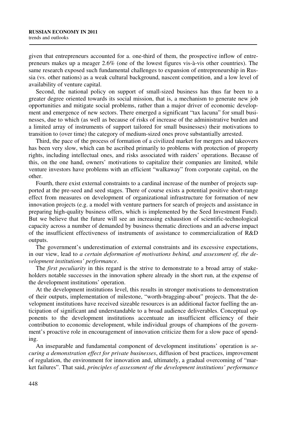given that entrepreneurs accounted for a. one-third of them, the prospective inflow of entrepreneurs makes up a meager 2.6% (one of the lowest figures vis-à-vis other countries). The same research exposed such fundamental challenges to expansion of entrepreneurship in Russia (vs. other nations) as a weak cultural background, nascent competition, and a low level of availability of venture capital.

Second, the national policy on support of small-sized business has thus far been to a greater degree oriented towards its social mission, that is, a mechanism to generate new job opportunities and mitigate social problems, rather than a major driver of economic development and emergence of new sectors. There emerged a significant "tax lacuna" for small businesses, due to which (as well as because of risks of increase of the administrative burden and a limited array of instruments of support tailored for small businesses) their motivations to transition to (over time) the category of medium-sized ones prove substantially arrested.

Third, the pace of the process of formation of a civilized market for mergers and takeovers has been very slow, which can be ascribed primarily to problems with protection of property rights, including intellectual ones, and risks associated with raiders' operations. Because of this, on the one hand, owners' motivations to capitalize their companies are limited, while venture investors have problems with an efficient "walkaway" from corporate capital, on the other.

Fourth, there exist external constraints to a cardinal increase of the number of projects supported at the pre-seed and seed stages. There of course exists a potential positive short-range effect from measures on development of organizational infrastructure for formation of new innovation projects (e.g. a model with venture partners for search of projects and assistance in preparing high-quality business offers, which is implemented by the Seed Investment Fund). But we believe that the future will see an increasing exhaustion of scientific-technological capacity across a number of demanded by business thematic directions and an adverse impact of the insufficient effectiveness of instruments of assistance to commercialization of R&D outputs.

The government's underestimation of external constraints and its excessive expectations, in our view, lead to *a certain deformation of motivations behind, and assessment of, the development institutions' performance*.

The *first peculiarity* in this regard is the strive to demonstrate to a broad array of stakeholders notable successes in the innovation sphere already in the short run, at the expense of the development institutions' operation.

At the development institutions level, this results in stronger motivations to demonstration of their outputs, implementation of milestone, "worth-bragging-about" projects. That the development institutions have received sizeable resources is an additional factor fuelling the anticipation of significant and understandable to a broad audience deliverables. Conceptual opponents to the development institutions accentuate an insufficient efficiency of their contribution to economic development, while individual groups of champions of the government's proactive role in encouragement of innovation criticize them for a slow pace of spending.

An inseparable and fundamental component of development institutions' operation is *securing a demonstration effect for private businesses*, diffusion of best practices, improvement of regulation, the environment for innovation and, ultimately, a gradual overcoming of "market failures". That said, *principles of assessment of the development institutions' performance*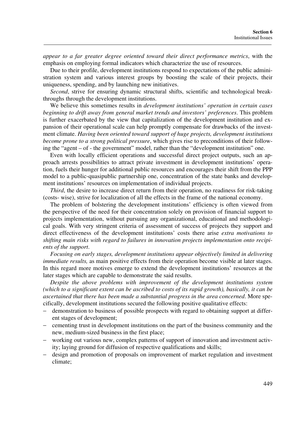*appear to a far greater degree oriented toward their direct performance metrics*, with the emphasis on employing formal indicators which characterize the use of resources.

Due to their profile, development institutions respond to expectations of the public administration system and various interest groups by boosting the scale of their projects, their uniqueness, spending, and by launching new initiatives.

*Second*, strive for ensuring dynamic structural shifts, scientific and technological breakthroughs through the development institutions.

We believe this sometimes results in *development institutions' operation in certain cases beginning to drift away from general market trends and investors' preferences*. This problem is further exacerbated by the view that capitalization of the development institution and expansion of their operational scale can help promptly compensate for drawbacks of the investment climate. *Having been oriented toward support of huge projects, development institutions become prone to a strong political pressure*, which gives rise to preconditions of their following the "agent – of - the government" model, rather than the "development institution" one.

Even with locally efficient operations and successful direct project outputs, such an approach arrests possibilities to attract private investment in development institutions' operation, fuels their hunger for additional public resources and encourages their shift from the PPP model to a public-quasipublic partnership one, concentration of the state banks and development institutions' resources on implementation of individual projects.

*Third*, the desire to increase direct return from their operation, no readiness for risk-taking (costs- wise), strive for localization of all the effects in the frame of the national economy.

The problem of bolstering the development institutions' efficiency is often viewed from the perspective of the need for their concentration solely on provision of financial support to projects implementation, without pursuing any organizational, educational and methodological goals. With very stringent criteria of assessment of success of projects they support and direct effectiveness of the development institutions' costs there arise *extra motivations to shifting main risks with regard to failures in innovation projects implementation onto recipients of the support*.

*Focusing on early stages, development institutions appear objectively limited in delivering immediate results*, as main positive effects from their operation become visible at later stages. In this regard more motives emerge to extend the development institutions' resources at the later stages which are capable to demonstrate the said results.

*Despite the above problems with improvement of the development institutions system (which to a significant extent can be ascribed to costs of its rapid growth), basically, it can be ascertained that there has been made a substantial progress in the area concerned*. More specifically, development institutions secured the following positive qualitative effects:

- − demonstration to business of possible prospects with regard to obtaining support at different stages of development;
- − cementing trust in development institutions on the part of the business community and the new, medium-sized business in the first place;
- working out various new, complex patterns of support of innovation and investment activity; laying ground for diffusion of respective qualifications and skills;
- − design and promotion of proposals on improvement of market regulation and investment climate;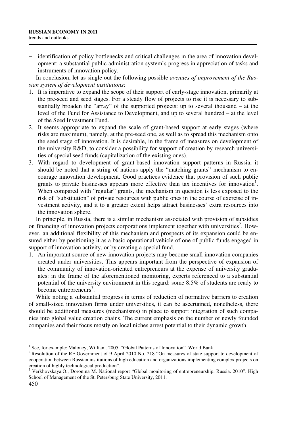− identification of policy bottlenecks and critical challenges in the area of innovation development; a substantial public administration system's progress in appreciation of tasks and instruments of innovation policy.

In conclusion, let us single out the following possible *avenues of improvement of the Russian system of development institutions*:

- 1. It is imperative to expand the scope of their support of early-stage innovation, primarily at the pre-seed and seed stages. For a steady flow of projects to rise it is necessary to substantially broaden the "array" of the supported projects: up to several thousand – at the level of the Fund for Assistance to Development, and up to several hundred – at the level of the Seed Investment Fund.
- 2. It seems appropriate to expand the scale of grant-based support at early stages (where risks are maximum), namely, at the pre-seed one, as well as to spread this mechanism onto the seed stage of innovation. It is desirable, in the frame of measures on development of the university R&D, to consider a possibility for support of creation by research universities of special seed funds (capitalization of the existing ones).
- 3. With regard to development of grant-based innovation support patterns in Russia, it should be noted that a string of nations apply the "matching grants" mechanism to encourage innovation development. Good practices evidence that provision of such public grants to private businesses appears more effective than tax incentives for innovation<sup>1</sup>. When compared with "regular" grants, the mechanism in question is less exposed to the risk of "substitution" of private resources with public ones in the course of exercise of investment activity, and it to a greater extent helps attract businesses' extra resources into the innovation sphere.

In principle, in Russia, there is a similar mechanism associated with provision of subsidies on financing of innovation projects corporations implement together with universities<sup>2</sup>. However, an additional flexibility of this mechanism and prospects of its expansion could be ensured either by positioning it as a basic operational vehicle of one of public funds engaged in support of innovation activity, or by creating a special fund.

1. An important source of new innovation projects may become small innovation companies created under universities. This appears important from the perspective of expansion of the community of innovation-oriented entrepreneurs at the expense of university graduates: in the frame of the aforementioned monitoring, experts referenced to a substantial potential of the university environment in this regard: some 8.5% of students are ready to become entrepreneurs<sup>3</sup>.

While noting a substantial progress in terms of reduction of normative barriers to creation of small-sized innovation firms under universities, it can be ascertained, nonetheless, there should be additional measures (mechanisms) in place to support integration of such companies into global value creation chains. The current emphasis on the number of newly founded companies and their focus mostly on local niches arrest potential to their dynamic growth.

<sup>&</sup>lt;sup>1</sup> See, for example: Maloney, William. 2005. "Global Patterns of Innovation". World Bank

<sup>&</sup>lt;sup>2</sup> Resolution of the RF Government of 9 April 2010 No. 218 "On measures of state support to development of cooperation between Russian institutions of high education and organizations implementing complex projects on creation of highly technological production".

<sup>&</sup>lt;sup>3</sup> Verkhovskaya.O., Doronina M. National report "Global monitoring of entrepreneurship. Russia. 2010". High School of Management of the St. Petersburg State University, 2011.